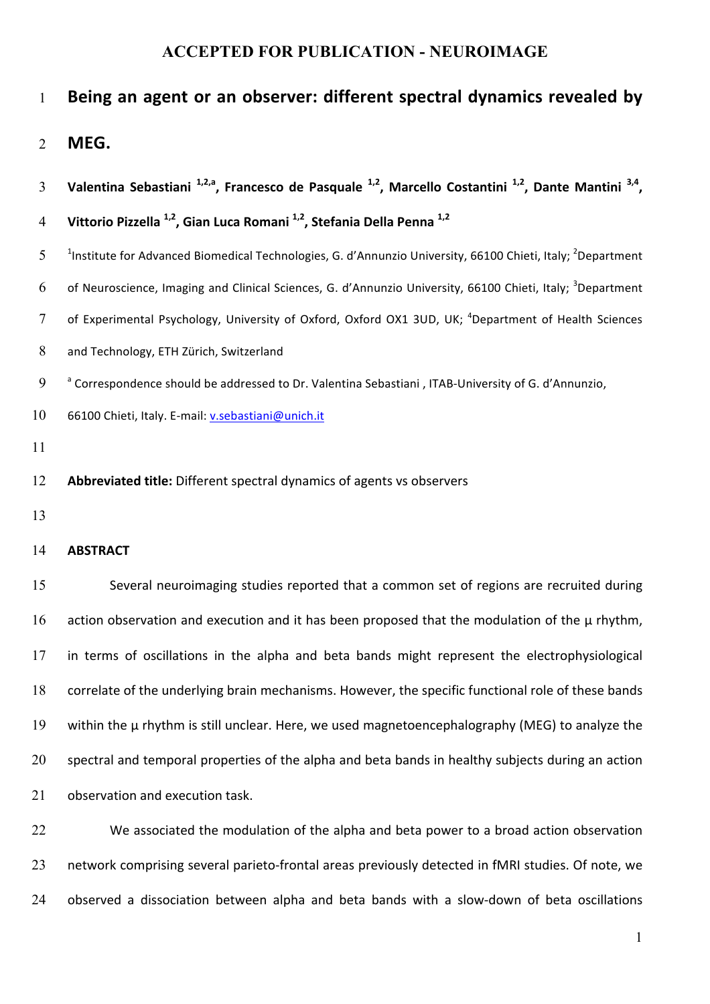# 1 Being an agent or an observer: different spectral dynamics revealed by

2 **MEG.**

| $\overline{3}$ | Valentina Sebastiani $^{1,2,a}$ , Francesco de Pasquale $^{1,2}$ , Marcello Costantini $^{1,2}$ , Dante Mantini $^{3,4}$ ,          |
|----------------|-------------------------------------------------------------------------------------------------------------------------------------|
| $\overline{4}$ | Vittorio Pizzella <sup>1,2</sup> , Gian Luca Romani <sup>1,2</sup> , Stefania Della Penna <sup>1,2</sup>                            |
| 5              | <sup>1</sup> Institute for Advanced Biomedical Technologies, G. d'Annunzio University, 66100 Chieti, Italy; <sup>2</sup> Department |
| 6              | of Neuroscience, Imaging and Clinical Sciences, G. d'Annunzio University, 66100 Chieti, Italy; <sup>3</sup> Department              |
| $\tau$         | of Experimental Psychology, University of Oxford, Oxford OX1 3UD, UK; <sup>4</sup> Department of Health Sciences                    |
| 8              | and Technology, ETH Zürich, Switzerland                                                                                             |
| 9              | <sup>a</sup> Correspondence should be addressed to Dr. Valentina Sebastiani, ITAB-University of G. d'Annunzio,                      |
| 10             | 66100 Chieti, Italy. E-mail: v.sebastiani@unich.it                                                                                  |
| 11             |                                                                                                                                     |
| 12             | Abbreviated title: Different spectral dynamics of agents vs observers                                                               |
| 13             |                                                                                                                                     |
| 14             | <b>ABSTRACT</b>                                                                                                                     |
| 15             | Several neuroimaging studies reported that a common set of regions are recruited during                                             |
| 16             | action observation and execution and it has been proposed that the modulation of the $\mu$ rhythm,                                  |
| 17             | in terms of oscillations in the alpha and beta bands might represent the electrophysiological                                       |
| 18             | correlate of the underlying brain mechanisms. However, the specific functional role of these bands                                  |
| 19             | within the µ rhythm is still unclear. Here, we used magnetoencephalography (MEG) to analyze the                                     |
| 20             | spectral and temporal properties of the alpha and beta bands in healthy subjects during an action                                   |

21 observation and execution task.

22 We associated the modulation of the alpha and beta power to a broad action observation 23 network comprising several parieto-frontal areas previously detected in fMRI studies. Of note, we 24 observed a dissociation between alpha and beta bands with a slow-down of beta oscillations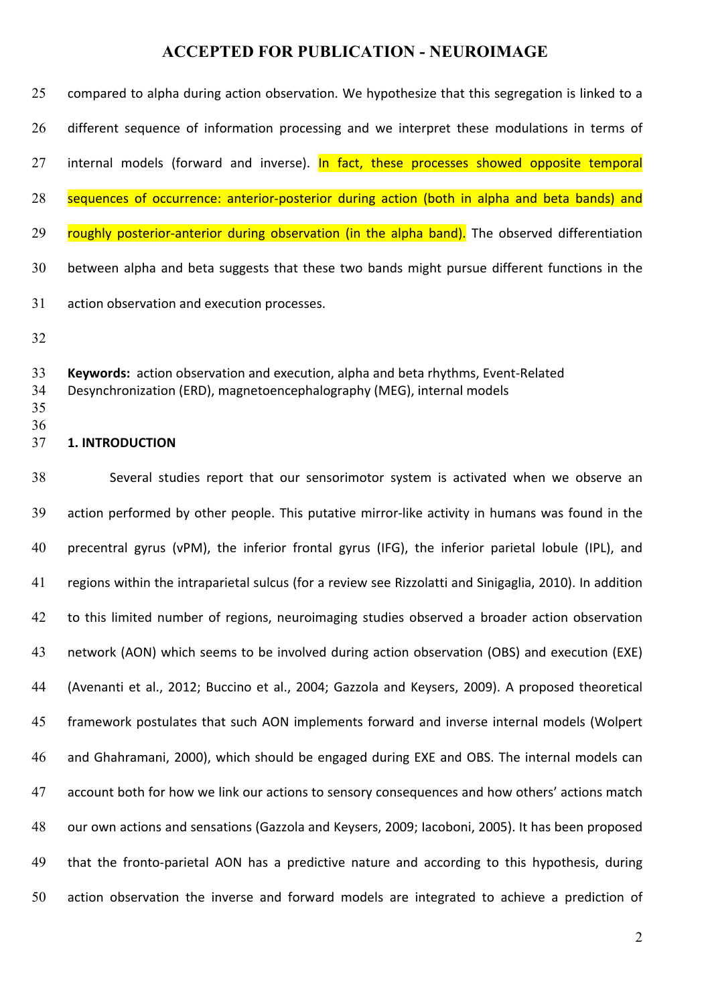| 25 | compared to alpha during action observation. We hypothesize that this segregation is linked to a |
|----|--------------------------------------------------------------------------------------------------|
| 26 | different sequence of information processing and we interpret these modulations in terms of      |
| 27 | internal models (forward and inverse). In fact, these processes showed opposite temporal         |
| 28 | sequences of occurrence: anterior-posterior during action (both in alpha and beta bands) and     |
| 29 | roughly posterior-anterior during observation (in the alpha band). The observed differentiation  |
| 30 | between alpha and beta suggests that these two bands might pursue different functions in the     |
| 31 | action observation and execution processes.                                                      |

32

33 **Keywords:** action observation and execution, alpha and beta rhythms, Event-Related

34 Desynchronization (ERD), magnetoencephalography (MEG), internal models

35 36

#### 37 **1. INTRODUCTION**

38 Several studies report that our sensorimotor system is activated when we observe an 39 action performed by other people. This putative mirror-like activity in humans was found in the 40 precentral gyrus (vPM), the inferior frontal gyrus (IFG), the inferior parietal lobule (IPL), and 41 regions within the intraparietal sulcus (for a review see Rizzolatti and Sinigaglia, 2010). In addition 42 to this limited number of regions, neuroimaging studies observed a broader action observation 43 network (AON) which seems to be involved during action observation (OBS) and execution (EXE) 44 (Avenanti et al., 2012; Buccino et al., 2004; Gazzola and Keysers, 2009). A proposed theoretical 45 framework postulates that such AON implements forward and inverse internal models (Wolpert 46 and Ghahramani, 2000), which should be engaged during EXE and OBS. The internal models can 47 account both for how we link our actions to sensory consequences and how others' actions match 48 our own actions and sensations (Gazzola and Keysers, 2009; Iacoboni, 2005). It has been proposed 49 that the fronto-parietal AON has a predictive nature and according to this hypothesis, during 50 action observation the inverse and forward models are integrated to achieve a prediction of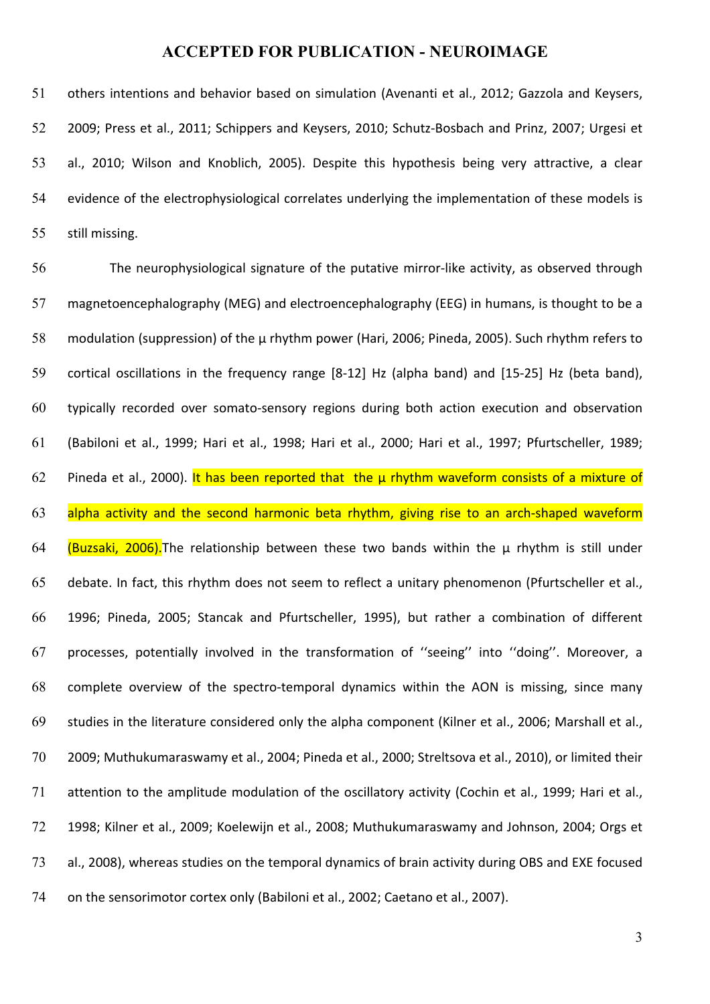51 others intentions and behavior based on simulation (Avenanti et al., 2012; Gazzola and Keysers, 52 2009; Press et al., 2011; Schippers and Keysers, 2010; Schutz-Bosbach and Prinz, 2007; Urgesi et 53 al., 2010; Wilson and Knoblich, 2005). Despite this hypothesis being very attractive, a clear 54 evidence of the electrophysiological correlates underlying the implementation of these models is 55 still missing.

56 The neurophysiological signature of the putative mirror-like activity, as observed through 57 magnetoencephalography (MEG) and electroencephalography (EEG) in humans, is thought to be a 58 modulation (suppression) of the  $\mu$  rhythm power (Hari, 2006; Pineda, 2005). Such rhythm refers to 59 cortical oscillations in the frequency range [8-12] Hz (alpha band) and [15-25] Hz (beta band), 60 typically recorded over somato-sensory regions during both action execution and observation 61 (Babiloni et al., 1999; Hari et al., 1998; Hari et al., 2000; Hari et al., 1997; Pfurtscheller, 1989; 62 Pineda et al., 2000). It has been reported that the  $\mu$  rhythm waveform consists of a mixture of 63 alpha activity and the second harmonic beta rhythm, giving rise to an arch-shaped waveform 64 (Buzsaki, 2006). The relationship between these two bands within the  $\mu$  rhythm is still under 65 debate. In fact, this rhythm does not seem to reflect a unitary phenomenon (Pfurtscheller et al., 66 1996; Pineda, 2005; Stancak and Pfurtscheller, 1995), but rather a combination of different 67 processes, potentially involved in the transformation of "seeing" into "doing". Moreover, a 68 complete overview of the spectro-temporal dynamics within the AON is missing, since many 69 studies in the literature considered only the alpha component (Kilner et al., 2006; Marshall et al., 70 2009; Muthukumaraswamy et al., 2004; Pineda et al., 2000; Streltsova et al., 2010), or limited their 71 attention to the amplitude modulation of the oscillatory activity (Cochin et al., 1999; Hari et al., 72 1998; Kilner et al., 2009; Koelewijn et al., 2008; Muthukumaraswamy and Johnson, 2004; Orgs et 73 al., 2008), whereas studies on the temporal dynamics of brain activity during OBS and EXE focused 74 on the sensorimotor cortex only (Babiloni et al., 2002; Caetano et al., 2007).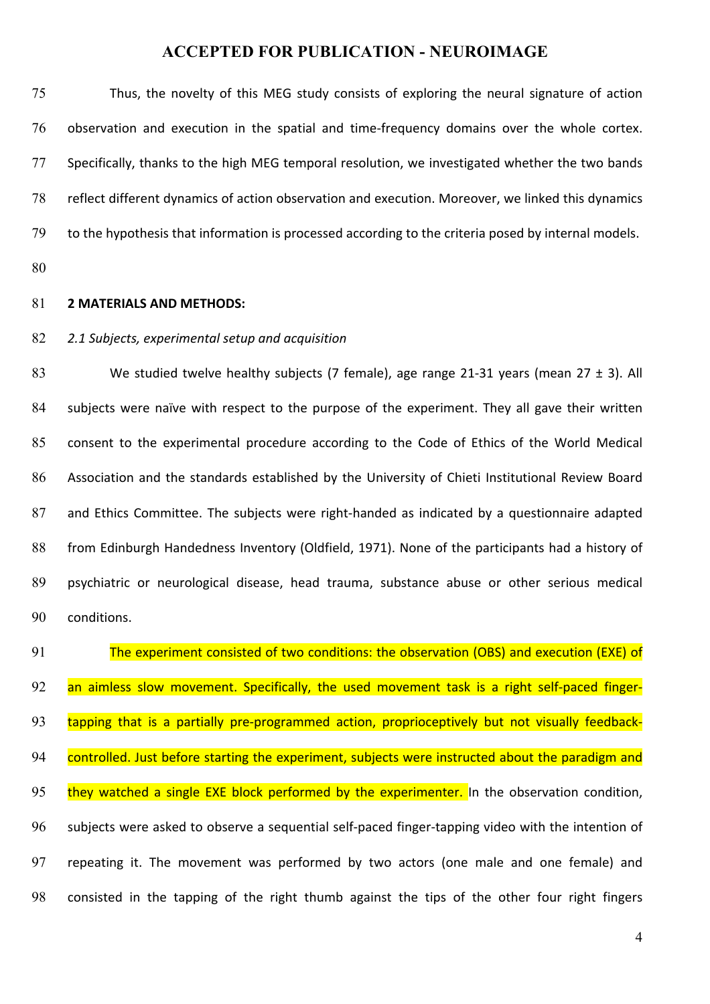75 Thus, the novelty of this MEG study consists of exploring the neural signature of action 76 observation and execution in the spatial and time-frequency domains over the whole cortex. 77 Specifically, thanks to the high MEG temporal resolution, we investigated whether the two bands 78 reflect different dynamics of action observation and execution. Moreover, we linked this dynamics 79 to the hypothesis that information is processed according to the criteria posed by internal models. 80 81 **2 MATERIALS AND METHODS:** 82 2.1 Subjects, experimental setup and acquisition 83 We studied twelve healthy subjects (7 female), age range 21-31 years (mean  $27 \pm 3$ ). All 84 subjects were naïve with respect to the purpose of the experiment. They all gave their written

85 consent to the experimental procedure according to the Code of Ethics of the World Medical 86 Association and the standards established by the University of Chieti Institutional Review Board 87 and Ethics Committee. The subjects were right-handed as indicated by a questionnaire adapted 88 from Edinburgh Handedness Inventory (Oldfield, 1971). None of the participants had a history of 89 psychiatric or neurological disease, head trauma, substance abuse or other serious medical 90 conditions.

91 The experiment consisted of two conditions: the observation (OBS) and execution (EXE) of 92 an aimless slow movement. Specifically, the used movement task is a right self-paced finger-93 tapping that is a partially pre-programmed action, proprioceptively but not visually feedback-94 controlled. Just before starting the experiment, subjects were instructed about the paradigm and 95 they watched a single EXE block performed by the experimenter. In the observation condition, 96 subjects were asked to observe a sequential self-paced finger-tapping video with the intention of 97 repeating it. The movement was performed by two actors (one male and one female) and 98 consisted in the tapping of the right thumb against the tips of the other four right fingers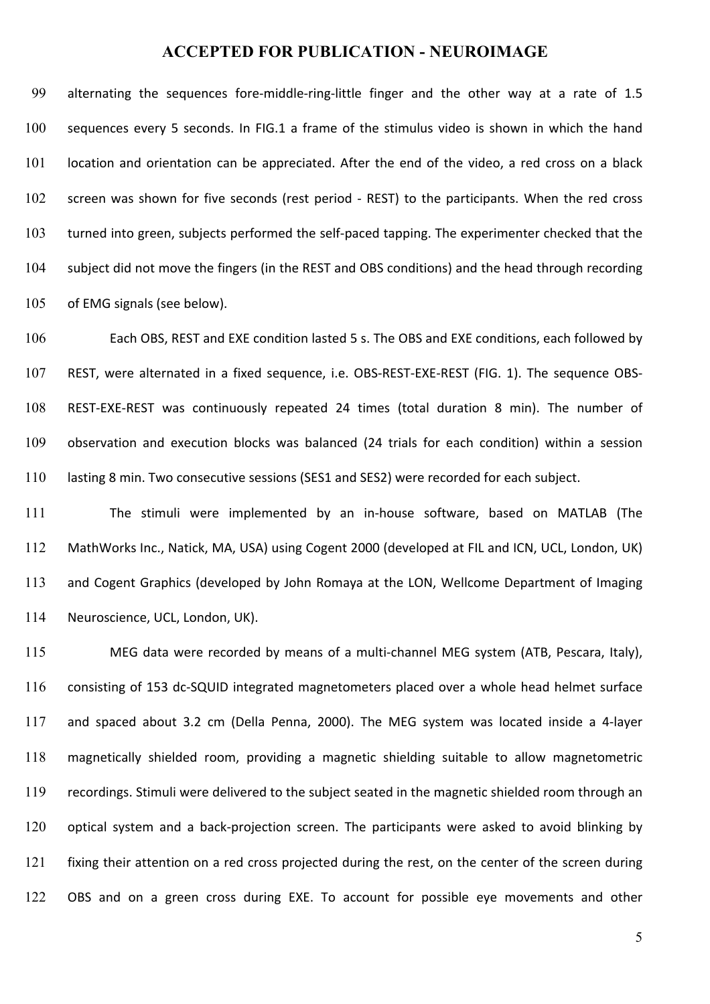99 alternating the sequences fore-middle-ring-little finger and the other way at a rate of 1.5 100 sequences every 5 seconds. In FIG.1 a frame of the stimulus video is shown in which the hand 101 location and orientation can be appreciated. After the end of the video, a red cross on a black 102 screen was shown for five seconds (rest period - REST) to the participants. When the red cross 103 turned into green, subjects performed the self-paced tapping. The experimenter checked that the 104 subject did not move the fingers (in the REST and OBS conditions) and the head through recording 105 of EMG signals (see below).

106 Each OBS, REST and EXE condition lasted 5 s. The OBS and EXE conditions, each followed by 107 REST, were alternated in a fixed sequence, i.e. OBS-REST-EXE-REST (FIG. 1). The sequence OBS-108 REST-EXE-REST was continuously repeated 24 times (total duration 8 min). The number of 109 observation and execution blocks was balanced (24 trials for each condition) within a session 110 lasting 8 min. Two consecutive sessions (SES1 and SES2) were recorded for each subject.

111 The stimuli were implemented by an in-house software, based on MATLAB (The 112 MathWorks Inc., Natick, MA, USA) using Cogent 2000 (developed at FIL and ICN, UCL, London, UK) 113 and Cogent Graphics (developed by John Romaya at the LON, Wellcome Department of Imaging 114 Neuroscience, UCL, London, UK).

115 MEG data were recorded by means of a multi-channel MEG system (ATB, Pescara, Italy), 116 consisting of 153 dc-SQUID integrated magnetometers placed over a whole head helmet surface 117 and spaced about 3.2 cm (Della Penna, 2000). The MEG system was located inside a 4-layer 118 magnetically shielded room, providing a magnetic shielding suitable to allow magnetometric 119 recordings. Stimuli were delivered to the subject seated in the magnetic shielded room through an 120 optical system and a back-projection screen. The participants were asked to avoid blinking by 121 fixing their attention on a red cross projected during the rest, on the center of the screen during 122 OBS and on a green cross during EXE. To account for possible eye movements and other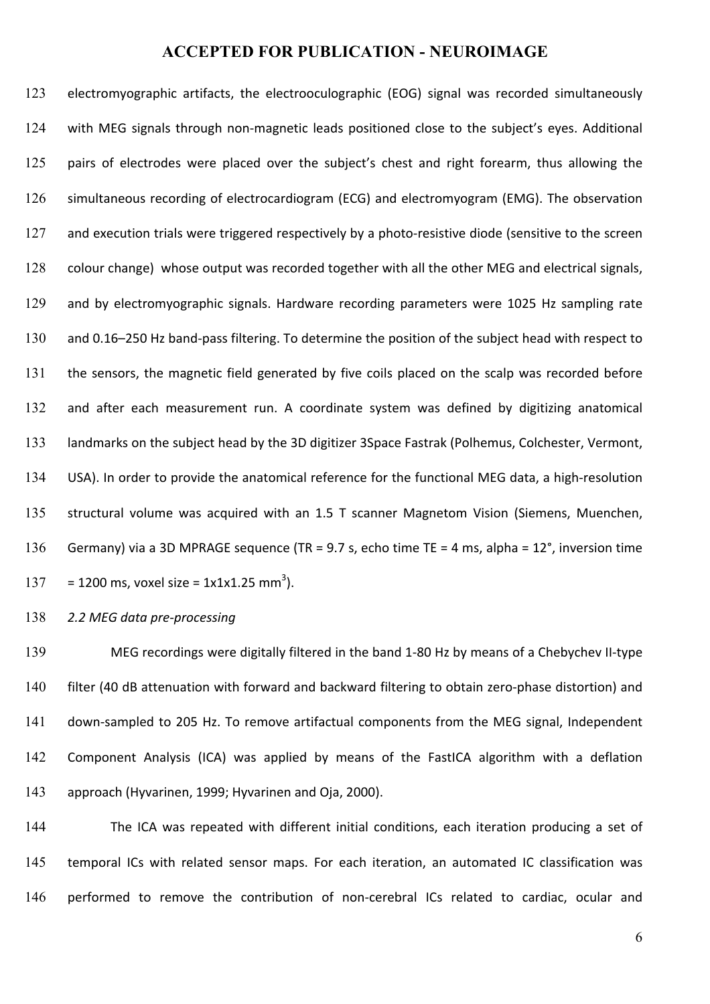123 electromyographic artifacts, the electrooculographic (EOG) signal was recorded simultaneously 124 with MEG signals through non-magnetic leads positioned close to the subject's eyes. Additional 125 pairs of electrodes were placed over the subject's chest and right forearm, thus allowing the 126 simultaneous recording of electrocardiogram (ECG) and electromyogram (EMG). The observation 127 and execution trials were triggered respectively by a photo-resistive diode (sensitive to the screen 128 colour change) whose output was recorded together with all the other MEG and electrical signals, 129 and by electromyographic signals. Hardware recording parameters were 1025 Hz sampling rate 130 and 0.16-250 Hz band-pass filtering. To determine the position of the subject head with respect to 131 the sensors, the magnetic field generated by five coils placed on the scalp was recorded before 132 and after each measurement run. A coordinate system was defined by digitizing anatomical 133 landmarks on the subject head by the 3D digitizer 3Space Fastrak (Polhemus, Colchester, Vermont, 134 USA). In order to provide the anatomical reference for the functional MEG data, a high-resolution 135 structural volume was acquired with an 1.5 T scanner Magnetom Vision (Siemens, Muenchen, 136 Germany) via a 3D MPRAGE sequence (TR = 9.7 s, echo time TE = 4 ms, alpha =  $12^{\circ}$ , inversion time  $137 = 1200$  ms, voxel size = 1x1x1.25 mm<sup>3</sup>).

138 **2.2 MEG** data pre-processing

139 MEG recordings were digitally filtered in the band 1-80 Hz by means of a Chebychev II-type 140 filter (40 dB attenuation with forward and backward filtering to obtain zero-phase distortion) and 141 down-sampled to 205 Hz. To remove artifactual components from the MEG signal, Independent 142 Component Analysis (ICA) was applied by means of the FastICA algorithm with a deflation 143 approach (Hyvarinen, 1999; Hyvarinen and Oja, 2000).

144 The ICA was repeated with different initial conditions, each iteration producing a set of 145 temporal ICs with related sensor maps. For each iteration, an automated IC classification was 146 performed to remove the contribution of non-cerebral ICs related to cardiac, ocular and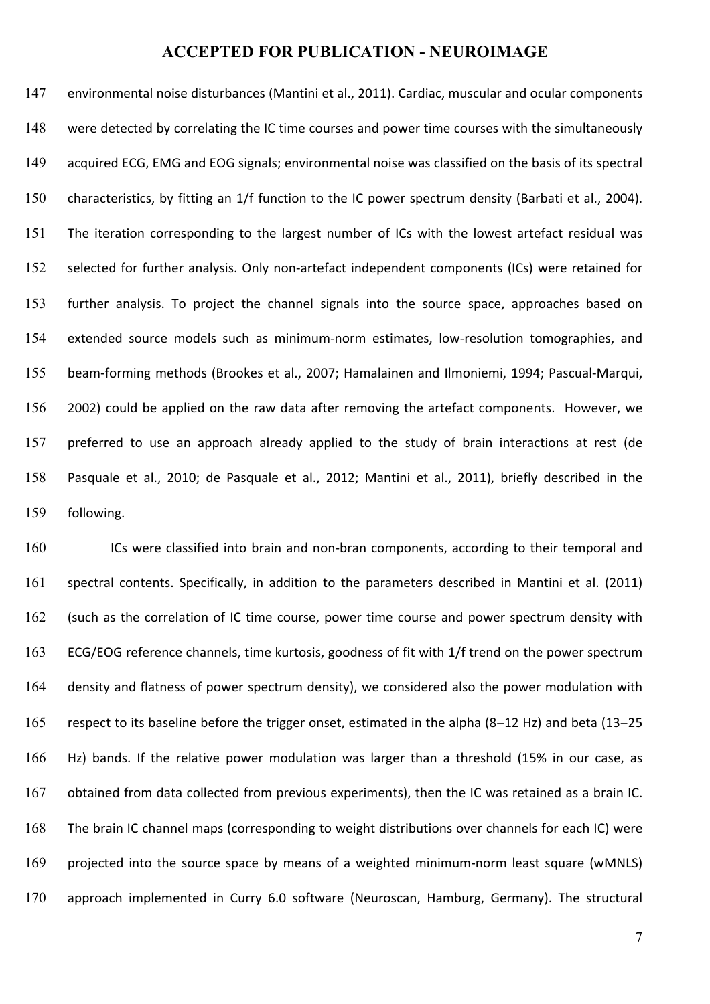147 environmental noise disturbances (Mantini et al., 2011). Cardiac, muscular and ocular components 148 were detected by correlating the IC time courses and power time courses with the simultaneously 149 acquired ECG, EMG and EOG signals; environmental noise was classified on the basis of its spectral 150 characteristics, by fitting an 1/f function to the IC power spectrum density (Barbati et al., 2004). 151 The iteration corresponding to the largest number of ICs with the lowest artefact residual was 152 selected for further analysis. Only non-artefact independent components (ICs) were retained for 153 further analysis. To project the channel signals into the source space, approaches based on 154 extended source models such as minimum-norm estimates, low-resolution tomographies, and 155 beam-forming methods (Brookes et al., 2007; Hamalainen and Ilmoniemi, 1994; Pascual-Marqui, 156 2002) could be applied on the raw data after removing the artefact components. However, we 157 preferred to use an approach already applied to the study of brain interactions at rest (de 158 Pasquale et al., 2010; de Pasquale et al., 2012; Mantini et al., 2011), briefly described in the 159 following.

160 ICs were classified into brain and non-bran components, according to their temporal and 161 spectral contents. Specifically, in addition to the parameters described in Mantini et al. (2011) 162 (such as the correlation of IC time course, power time course and power spectrum density with 163 ECG/EOG reference channels, time kurtosis, goodness of fit with 1/f trend on the power spectrum 164 density and flatness of power spectrum density), we considered also the power modulation with 165 respect to its baseline before the trigger onset, estimated in the alpha (8–12 Hz) and beta (13–25 166 Hz) bands. If the relative power modulation was larger than a threshold (15% in our case, as 167 obtained from data collected from previous experiments), then the IC was retained as a brain IC. 168 The brain IC channel maps (corresponding to weight distributions over channels for each IC) were 169 projected into the source space by means of a weighted minimum-norm least square (wMNLS) 170 approach implemented in Curry 6.0 software (Neuroscan, Hamburg, Germany). The structural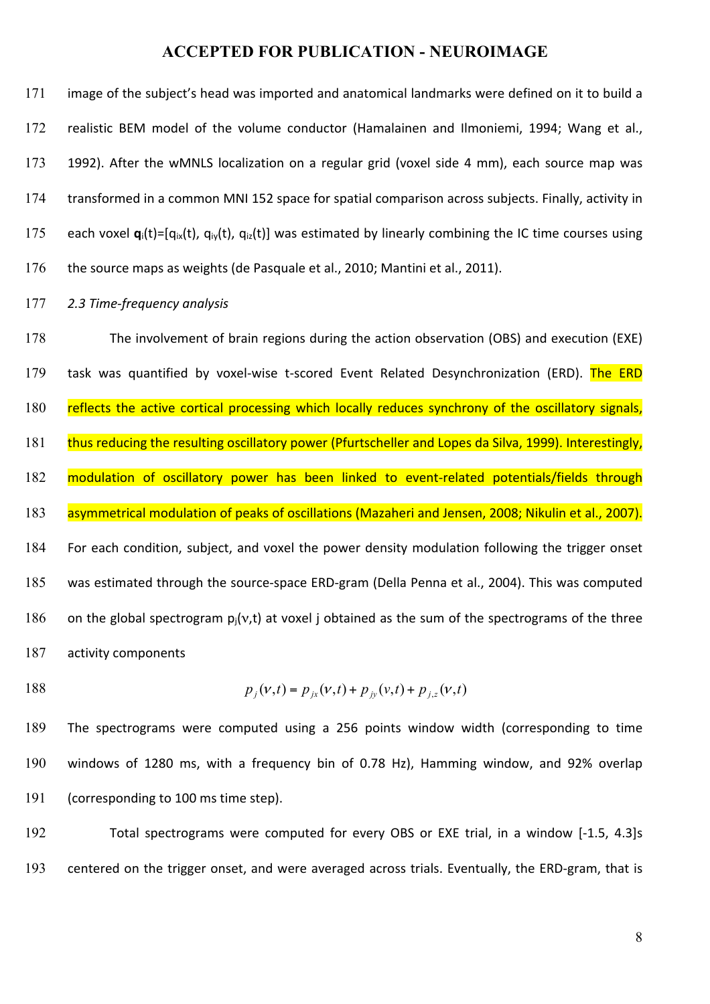| 171 | image of the subject's head was imported and anatomical landmarks were defined on it to build a                                                             |
|-----|-------------------------------------------------------------------------------------------------------------------------------------------------------------|
| 172 | realistic BEM model of the volume conductor (Hamalainen and Ilmoniemi, 1994; Wang et al.,                                                                   |
| 173 | 1992). After the wMNLS localization on a regular grid (voxel side 4 mm), each source map was                                                                |
| 174 | transformed in a common MNI 152 space for spatial comparison across subjects. Finally, activity in                                                          |
| 175 | each voxel $\mathbf{q}_i(t)$ =[q <sub>ix</sub> (t), q <sub>iy</sub> (t), q <sub>iz</sub> (t)] was estimated by linearly combining the IC time courses using |
| 176 | the source maps as weights (de Pasquale et al., 2010; Mantini et al., 2011).                                                                                |

#### 177 *2.3 Time-frequency analysis*

178 The involvement of brain regions during the action observation (OBS) and execution (EXE) 179 task was quantified by voxel-wise t-scored Event Related Desynchronization (ERD). The ERD 180 reflects the active cortical processing which locally reduces synchrony of the oscillatory signals, 181 thus reducing the resulting oscillatory power (Pfurtscheller and Lopes da Silva, 1999). Interestingly, 182 modulation of oscillatory power has been linked to event-related potentials/fields through 183 asymmetrical modulation of peaks of oscillations (Mazaheri and Jensen, 2008; Nikulin et al., 2007). 184 For each condition, subject, and voxel the power density modulation following the trigger onset 185 was estimated through the source-space ERD-gram (Della Penna et al., 2004). This was computed 186 on the global spectrogram  $p_i(v,t)$  at voxel j obtained as the sum of the spectrograms of the three 187 activity components

188 
$$
p_j(v,t) = p_{jx}(v,t) + p_{jy}(v,t) + p_{j,z}(v,t)
$$

189 The spectrograms were computed using a 256 points window width (corresponding to time 190 windows of 1280 ms, with a frequency bin of 0.78 Hz), Hamming window, and 92% overlap 191 (corresponding to 100 ms time step).

192 Total spectrograms were computed for every OBS or EXE trial, in a window [-1.5, 4.3]s 193 centered on the trigger onset, and were averaged across trials. Eventually, the ERD-gram, that is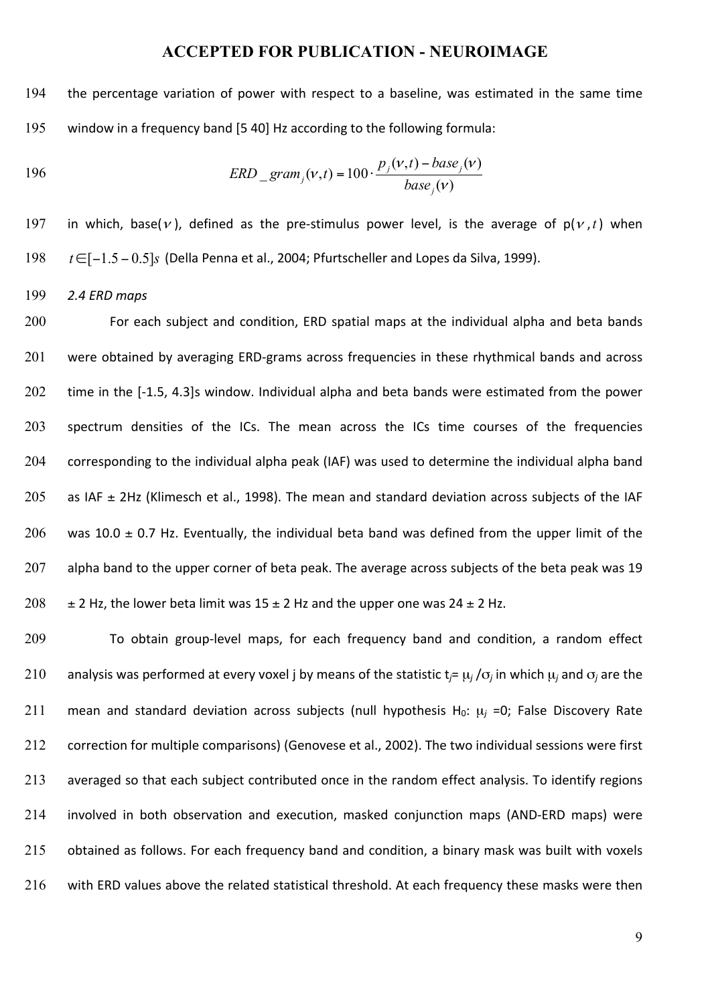194 the percentage variation of power with respect to a baseline, was estimated in the same time 195 window in a frequency band [5 40] Hz according to the following formula:

196 
$$
ERD_{gram_j}(v,t) = 100 \cdot \frac{p_j(v,t) - base_j(v)}{base_j(v)}
$$

197 in which, base(v), defined as the pre-stimulus power level, is the average of  $p(v, t)$  when 198 *t* ∈[−1.5 − 0.5]*s* (Della Penna et al., 2004; Pfurtscheller and Lopes da Silva, 1999).

199 *2.4 ERD maps*

200 For each subject and condition, ERD spatial maps at the individual alpha and beta bands 201 were obtained by averaging ERD-grams across frequencies in these rhythmical bands and across 202 time in the [-1.5, 4.3]s window. Individual alpha and beta bands were estimated from the power 203 spectrum densities of the ICs. The mean across the ICs time courses of the frequencies 204 corresponding to the individual alpha peak (IAF) was used to determine the individual alpha band 205 as IAF  $\pm$  2Hz (Klimesch et al., 1998). The mean and standard deviation across subjects of the IAF 206 was 10.0  $\pm$  0.7 Hz. Eventually, the individual beta band was defined from the upper limit of the 207 alpha band to the upper corner of beta peak. The average across subjects of the beta peak was 19 208  $\pm$  2 Hz, the lower beta limit was 15  $\pm$  2 Hz and the upper one was 24  $\pm$  2 Hz.

209 To obtain group-level maps, for each frequency band and condition, a random effect 210 analysis was performed at every voxel j by means of the statistic  $t_j = \mu_j / \sigma_j$  in which  $\mu_j$  and  $\sigma_j$  are the 211 mean and standard deviation across subjects (null hypothesis  $H_0$ :  $\mu$ *j* =0; False Discovery Rate 212 correction for multiple comparisons) (Genovese et al., 2002). The two individual sessions were first 213 averaged so that each subject contributed once in the random effect analysis. To identify regions 214 involved in both observation and execution, masked conjunction maps (AND-ERD maps) were 215 obtained as follows. For each frequency band and condition, a binary mask was built with voxels 216 with ERD values above the related statistical threshold. At each frequency these masks were then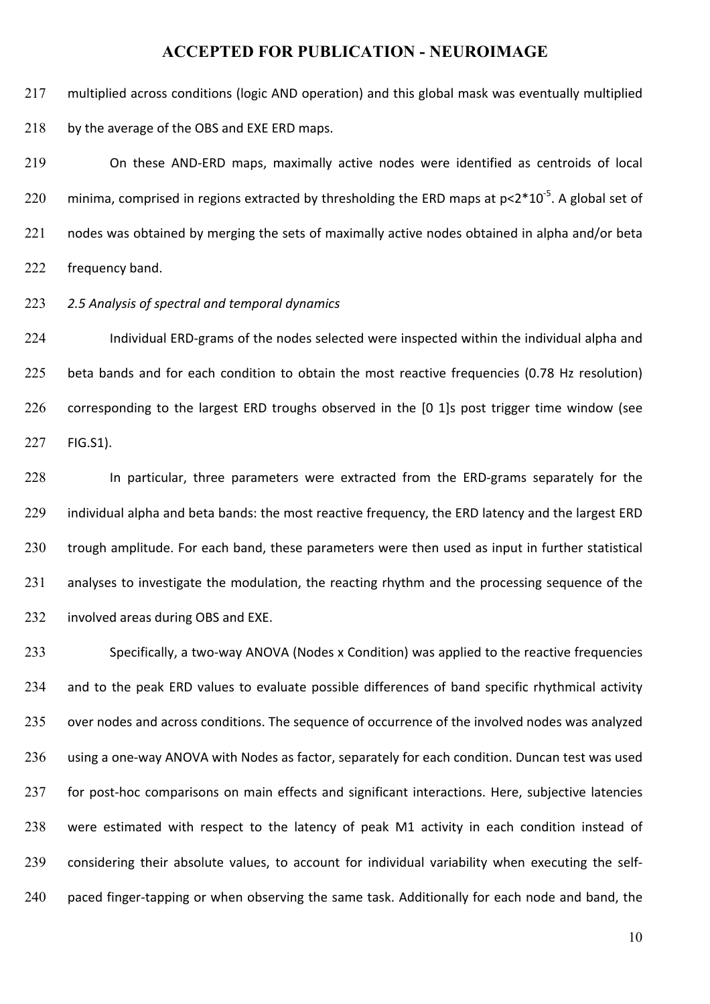217 multiplied across conditions (logic AND operation) and this global mask was eventually multiplied 218 by the average of the OBS and EXE ERD maps.

219 On these AND-ERD maps, maximally active nodes were identified as centroids of local 220 minima, comprised in regions extracted by thresholding the ERD maps at  $p<2*10^{-5}$ . A global set of 221 nodes was obtained by merging the sets of maximally active nodes obtained in alpha and/or beta 222 frequency band.

223 2.5 Analysis of spectral and temporal dynamics

224 Individual ERD-grams of the nodes selected were inspected within the individual alpha and 225 beta bands and for each condition to obtain the most reactive frequencies (0.78 Hz resolution) 226 corresponding to the largest ERD troughs observed in the [0 1]s post trigger time window (see 227 FIG.S1).

228 In particular, three parameters were extracted from the ERD-grams separately for the 229 individual alpha and beta bands: the most reactive frequency, the ERD latency and the largest ERD 230 trough amplitude. For each band, these parameters were then used as input in further statistical 231 analyses to investigate the modulation, the reacting rhythm and the processing sequence of the 232 involved areas during OBS and EXE.

233 Specifically, a two-way ANOVA (Nodes x Condition) was applied to the reactive frequencies 234 and to the peak ERD values to evaluate possible differences of band specific rhythmical activity 235 over nodes and across conditions. The sequence of occurrence of the involved nodes was analyzed 236 using a one-way ANOVA with Nodes as factor, separately for each condition. Duncan test was used 237 for post-hoc comparisons on main effects and significant interactions. Here, subjective latencies 238 were estimated with respect to the latency of peak M1 activity in each condition instead of 239 considering their absolute values, to account for individual variability when executing the self-240 paced finger-tapping or when observing the same task. Additionally for each node and band, the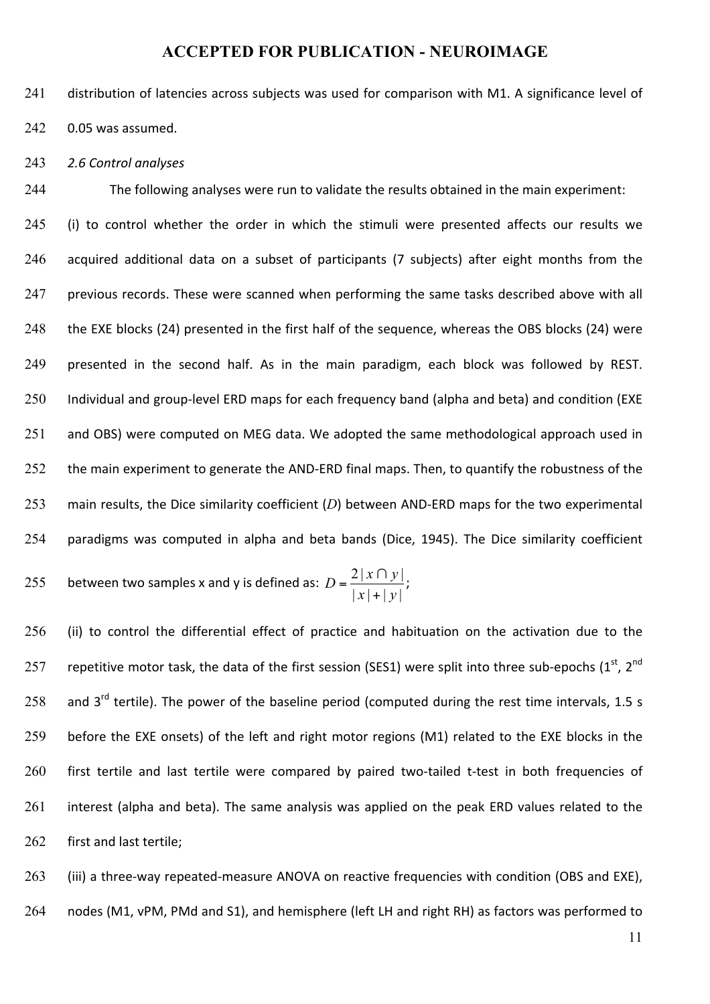241 distribution of latencies across subjects was used for comparison with M1. A significance level of 242 0.05 was assumed.

243 *2.6 Control analyses*

244 The following analyses were run to validate the results obtained in the main experiment:

245 (i) to control whether the order in which the stimuli were presented affects our results we 246 acquired additional data on a subset of participants (7 subjects) after eight months from the 247 previous records. These were scanned when performing the same tasks described above with all 248 the EXE blocks (24) presented in the first half of the sequence, whereas the OBS blocks (24) were 249 presented in the second half. As in the main paradigm, each block was followed by REST. 250 Individual and group-level ERD maps for each frequency band (alpha and beta) and condition (EXE 251 and OBS) were computed on MEG data. We adopted the same methodological approach used in 252 the main experiment to generate the AND-ERD final maps. Then, to quantify the robustness of the 253 main results, the Dice similarity coefficient  $(D)$  between AND-ERD maps for the two experimental 254 paradigms was computed in alpha and beta bands (Dice, 1945). The Dice similarity coefficient

255 between two samples x and y is defined as: 
$$
D = \frac{2|x \cap y|}{|x| + |y|};
$$

 $256$  (ii) to control the differential effect of practice and habituation on the activation due to the 257 repetitive motor task, the data of the first session (SES1) were split into three sub-epochs (1st, 2<sup>nd</sup> 258 and  $3^{rd}$  tertile). The power of the baseline period (computed during the rest time intervals, 1.5 s 259 before the EXE onsets) of the left and right motor regions (M1) related to the EXE blocks in the 260 first tertile and last tertile were compared by paired two-tailed t-test in both frequencies of  $261$  interest (alpha and beta). The same analysis was applied on the peak ERD values related to the 262 first and last tertile;

263 (iii) a three-way repeated-measure ANOVA on reactive frequencies with condition (OBS and EXE), 264 nodes (M1, vPM, PMd and S1), and hemisphere (left LH and right RH) as factors was performed to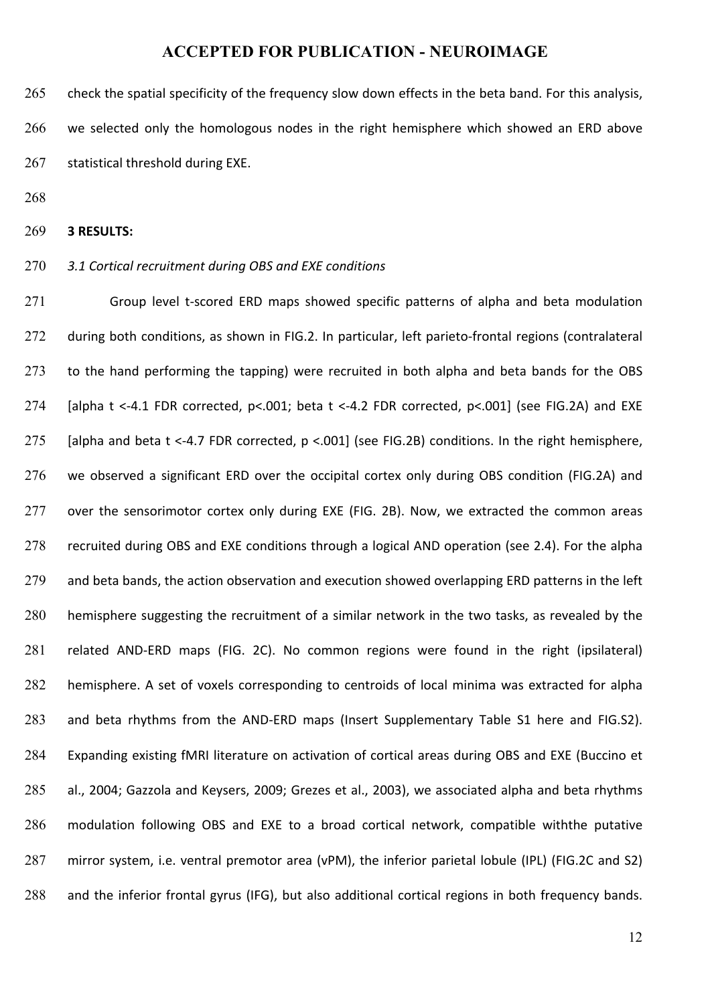265 check the spatial specificity of the frequency slow down effects in the beta band. For this analysis, 266 we selected only the homologous nodes in the right hemisphere which showed an ERD above 267 statistical threshold during EXE.

268

#### 269 **3 RESULTS:**

#### 270 *3.1 Cortical recruitment during OBS and EXE conditions*

271 Group level t-scored ERD maps showed specific patterns of alpha and beta modulation 272 during both conditions, as shown in FIG.2. In particular, left parieto-frontal regions (contralateral 273 to the hand performing the tapping) were recruited in both alpha and beta bands for the OBS 274 [alpha t <-4.1 FDR corrected,  $p$ <.001; beta t <-4.2 FDR corrected,  $p$ <.001] (see FIG.2A) and EXE 275 [alpha and beta t <-4.7 FDR corrected,  $p$  <.001] (see FIG.2B) conditions. In the right hemisphere, 276 we observed a significant ERD over the occipital cortex only during OBS condition (FIG.2A) and 277 over the sensorimotor cortex only during EXE (FIG. 2B). Now, we extracted the common areas 278 recruited during OBS and EXE conditions through a logical AND operation (see 2.4). For the alpha 279 and beta bands, the action observation and execution showed overlapping ERD patterns in the left 280 hemisphere suggesting the recruitment of a similar network in the two tasks, as revealed by the 281 related AND-ERD maps (FIG. 2C). No common regions were found in the right (ipsilateral) 282 hemisphere. A set of voxels corresponding to centroids of local minima was extracted for alpha 283 and beta rhythms from the AND-ERD maps (Insert Supplementary Table S1 here and FIG.S2). 284 Expanding existing fMRI literature on activation of cortical areas during OBS and EXE (Buccino et 285 al., 2004; Gazzola and Keysers, 2009; Grezes et al., 2003), we associated alpha and beta rhythms 286 modulation following OBS and EXE to a broad cortical network, compatible withthe putative 287 mirror system, i.e. ventral premotor area (vPM), the inferior parietal lobule (IPL) (FIG.2C and S2) 288 and the inferior frontal gyrus (IFG), but also additional cortical regions in both frequency bands.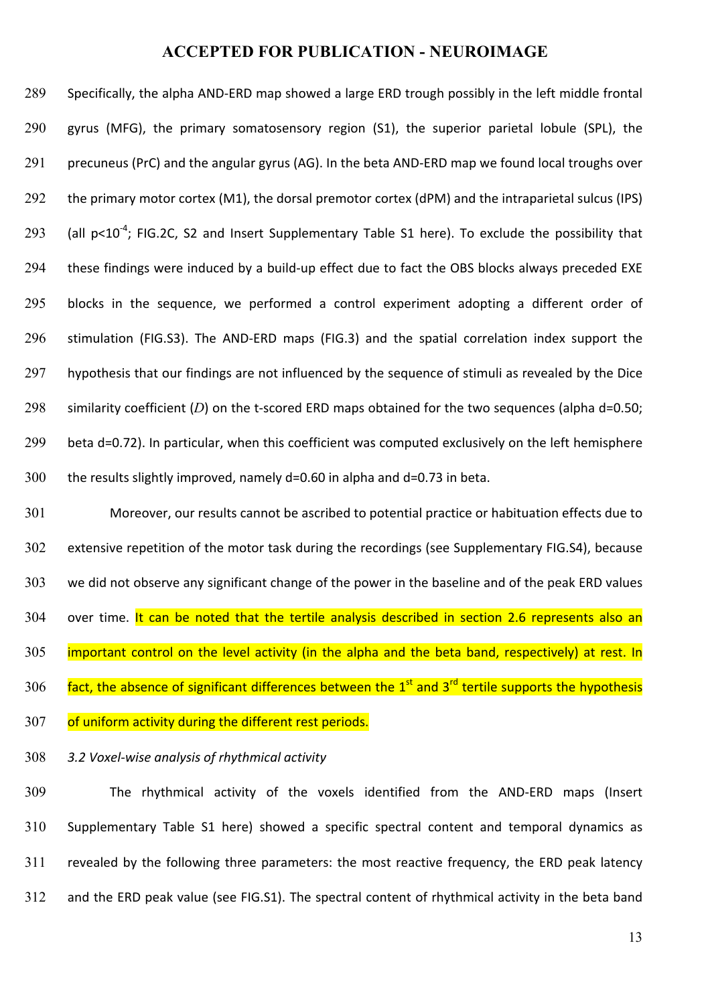289 Specifically, the alpha AND-ERD map showed a large ERD trough possibly in the left middle frontal 290 gyrus (MFG), the primary somatosensory region (S1), the superior parietal lobule (SPL), the 291 precuneus (PrC) and the angular gyrus (AG). In the beta AND-ERD map we found local troughs over 292 the primary motor cortex (M1), the dorsal premotor cortex (dPM) and the intraparietal sulcus (IPS) 293 (all  $p<10^{-4}$ ; FIG.2C, S2 and Insert Supplementary Table S1 here). To exclude the possibility that 294 these findings were induced by a build-up effect due to fact the OBS blocks always preceded EXE 295 blocks in the sequence, we performed a control experiment adopting a different order of 296 stimulation (FIG.S3). The AND-ERD maps (FIG.3) and the spatial correlation index support the 297 hypothesis that our findings are not influenced by the sequence of stimuli as revealed by the Dice 298 similarity coefficient  $(D)$  on the t-scored ERD maps obtained for the two sequences (alpha d=0.50; 299 beta d=0.72). In particular, when this coefficient was computed exclusively on the left hemisphere  $300$  the results slightly improved, namely d=0.60 in alpha and d=0.73 in beta.

301 Moreover, our results cannot be ascribed to potential practice or habituation effects due to 302 extensive repetition of the motor task during the recordings (see Supplementary FIG.S4), because 303 we did not observe any significant change of the power in the baseline and of the peak ERD values 304 over time. It can be noted that the tertile analysis described in section 2.6 represents also an  $305$  important control on the level activity (in the alpha and the beta band, respectively) at rest. In 306  $\frac{fact}{a}$ , the absence of significant differences between the  $1^{st}$  and  $3^{rd}$  tertile supports the hypothesis 307 of uniform activity during the different rest periods.

#### 308 *3.2 Voxel-wise analysis of rhythmical activity*

309 The rhythmical activity of the voxels identified from the AND-ERD maps (Insert 310 Supplementary Table S1 here) showed a specific spectral content and temporal dynamics as 311 revealed by the following three parameters: the most reactive frequency, the ERD peak latency 312 and the ERD peak value (see FIG.S1). The spectral content of rhythmical activity in the beta band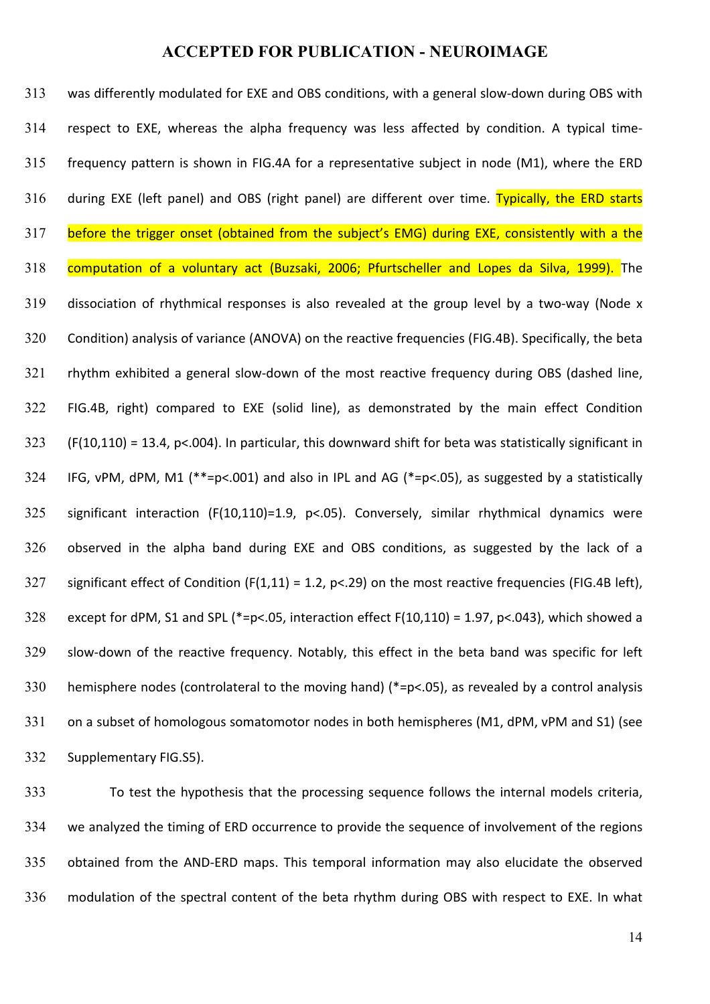313 was differently modulated for EXE and OBS conditions, with a general slow-down during OBS with 314 respect to EXE, whereas the alpha frequency was less affected by condition. A typical time-315 frequency pattern is shown in FIG.4A for a representative subject in node (M1), where the ERD 316 during EXE (left panel) and OBS (right panel) are different over time. Typically, the ERD starts 317 before the trigger onset (obtained from the subject's EMG) during EXE, consistently with a the 318 computation of a voluntary act (Buzsaki, 2006; Pfurtscheller and Lopes da Silva, 1999). The 319 dissociation of rhythmical responses is also revealed at the group level by a two-way (Node x 320 Condition) analysis of variance (ANOVA) on the reactive frequencies (FIG.4B). Specifically, the beta 321 rhythm exhibited a general slow-down of the most reactive frequency during OBS (dashed line, 322 FIG.4B, right) compared to EXE (solid line), as demonstrated by the main effect Condition 323 (F(10,110) = 13.4, p<.004). In particular, this downward shift for beta was statistically significant in 324 IFG, vPM, dPM, M1 (\*\*=p<.001) and also in IPL and AG (\*=p<.05), as suggested by a statistically 325 significant interaction (F(10,110)=1.9, p<.05). Conversely, similar rhythmical dynamics were 326 observed in the alpha band during EXE and OBS conditions, as suggested by the lack of a 327 significant effect of Condition  $(F(1,11) = 1.2, p<0.29)$  on the most reactive frequencies (FIG.4B left), 328 except for dPM, S1 and SPL (\*=p<.05, interaction effect  $F(10,110) = 1.97$ , p<.043), which showed a 329 slow-down of the reactive frequency. Notably, this effect in the beta band was specific for left 330 hemisphere nodes (controlateral to the moving hand)  $(*=p<0.05)$ , as revealed by a control analysis 331 on a subset of homologous somatomotor nodes in both hemispheres (M1, dPM, vPM and S1) (see 332 Supplementary FIG.S5).

333 To test the hypothesis that the processing sequence follows the internal models criteria, 334 we analyzed the timing of ERD occurrence to provide the sequence of involvement of the regions 335 obtained from the AND-ERD maps. This temporal information may also elucidate the observed 336 modulation of the spectral content of the beta rhythm during OBS with respect to EXE. In what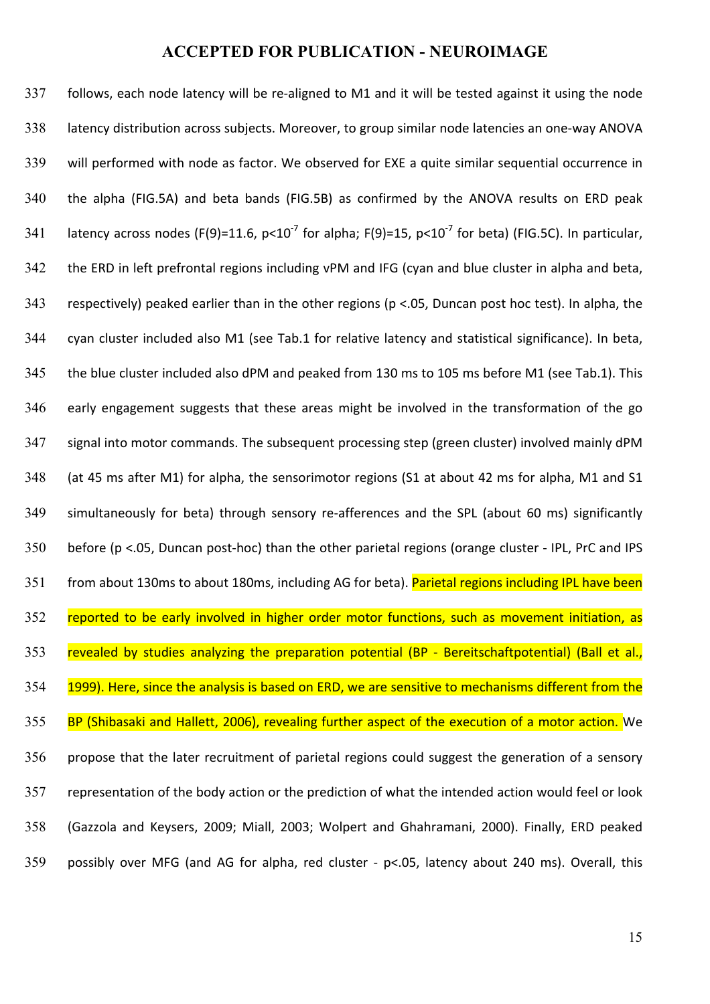337 follows, each node latency will be re-aligned to M1 and it will be tested against it using the node 338 latency distribution across subjects. Moreover, to group similar node latencies an one-way ANOVA 339 will performed with node as factor. We observed for EXE a quite similar sequential occurrence in 340 the alpha (FIG.5A) and beta bands (FIG.5B) as confirmed by the ANOVA results on ERD peak 341 latency across nodes (F(9)=11.6,  $p<10^{-7}$  for alpha; F(9)=15,  $p<10^{-7}$  for beta) (FIG.5C). In particular, 342 the ERD in left prefrontal regions including vPM and IFG (cyan and blue cluster in alpha and beta, 343 respectively) peaked earlier than in the other regions ( $p$  <.05, Duncan post hoc test). In alpha, the 344 cyan cluster included also M1 (see Tab.1 for relative latency and statistical significance). In beta, 345 the blue cluster included also dPM and peaked from 130 ms to 105 ms before M1 (see Tab.1). This 346 early engagement suggests that these areas might be involved in the transformation of the go 347 signal into motor commands. The subsequent processing step (green cluster) involved mainly dPM 348 (at 45 ms after M1) for alpha, the sensorimotor regions (S1 at about 42 ms for alpha, M1 and S1 349 simultaneously for beta) through sensory re-afferences and the SPL (about 60 ms) significantly  $350$  before (p <.05, Duncan post-hoc) than the other parietal regions (orange cluster - IPL, PrC and IPS 351 from about 130ms to about 180ms, including AG for beta). Parietal regions including IPL have been 352 reported to be early involved in higher order motor functions, such as movement initiation, as 353 revealed by studies analyzing the preparation potential (BP - Bereitschaftpotential) (Ball et al., 354 1999). Here, since the analysis is based on ERD, we are sensitive to mechanisms different from the 355 BP (Shibasaki and Hallett, 2006), revealing further aspect of the execution of a motor action. We 356 propose that the later recruitment of parietal regions could suggest the generation of a sensory 357 representation of the body action or the prediction of what the intended action would feel or look 358 (Gazzola and Keysers, 2009; Miall, 2003; Wolpert and Ghahramani, 2000). Finally, ERD peaked 359 possibly over MFG (and AG for alpha, red cluster - p<.05, latency about 240 ms). Overall, this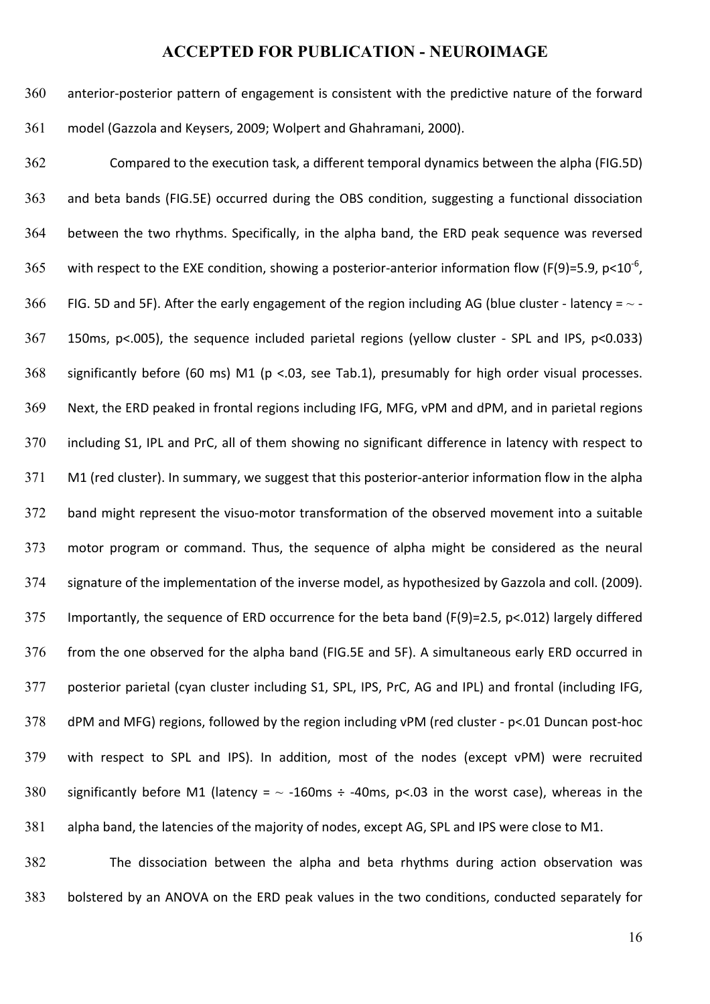360 anterior-posterior pattern of engagement is consistent with the predictive nature of the forward 361 model (Gazzola and Keysers, 2009; Wolpert and Ghahramani, 2000).

362 Compared to the execution task, a different temporal dynamics between the alpha (FIG.5D) 363 and beta bands (FIG.5E) occurred during the OBS condition, suggesting a functional dissociation 364 between the two rhythms. Specifically, in the alpha band, the ERD peak sequence was reversed 365 with respect to the EXE condition, showing a posterior-anterior information flow (F(9)=5.9, p<10<sup>-6</sup>, 366 FIG. 5D and 5F). After the early engagement of the region including AG (blue cluster - latency =  $\sim$  -367 150ms, p<.005), the sequence included parietal regions (yellow cluster - SPL and IPS, p<0.033) 368 significantly before (60 ms) M1 (p <.03, see Tab.1), presumably for high order visual processes. 369 Next, the ERD peaked in frontal regions including IFG, MFG, vPM and dPM, and in parietal regions 370 including S1, IPL and PrC, all of them showing no significant difference in latency with respect to 371 M1 (red cluster). In summary, we suggest that this posterior-anterior information flow in the alpha 372 band might represent the visuo-motor transformation of the observed movement into a suitable 373 motor program or command. Thus, the sequence of alpha might be considered as the neural 374 signature of the implementation of the inverse model, as hypothesized by Gazzola and coll. (2009). 375 Importantly, the sequence of ERD occurrence for the beta band (F(9)=2.5, p<.012) largely differed 376 from the one observed for the alpha band (FIG.5E and 5F). A simultaneous early ERD occurred in 377 posterior parietal (cyan cluster including S1, SPL, IPS, PrC, AG and IPL) and frontal (including IFG, 378 dPM and MFG) regions, followed by the region including vPM (red cluster - p<.01 Duncan post-hoc 379 with respect to SPL and IPS). In addition, most of the nodes (except vPM) were recruited 380 significantly before M1 (latency =  $\sim$  -160ms ÷ -40ms, p<.03 in the worst case), whereas in the 381 alpha band, the latencies of the majority of nodes, except AG, SPL and IPS were close to M1.

382 The dissociation between the alpha and beta rhythms during action observation was 383 bolstered by an ANOVA on the ERD peak values in the two conditions, conducted separately for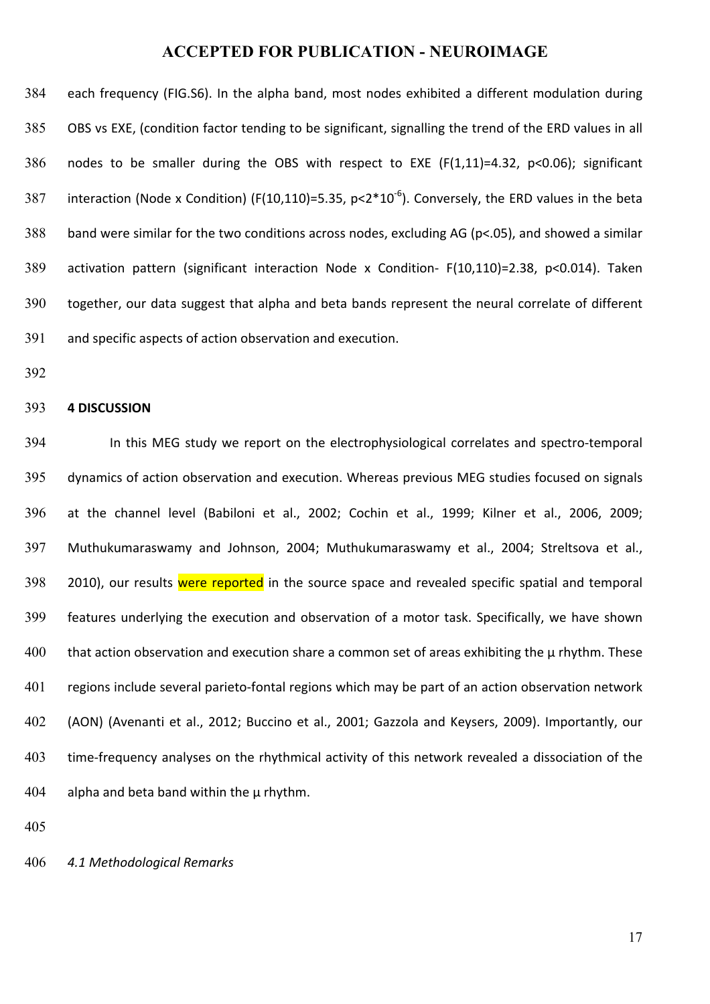384 each frequency (FIG.S6). In the alpha band, most nodes exhibited a different modulation during 385 OBS vs EXE, (condition factor tending to be significant, signalling the trend of the ERD values in all  $386$  nodes to be smaller during the OBS with respect to EXE (F(1,11)=4.32, p<0.06); significant 387 interaction (Node x Condition) (F(10,110)=5.35, p<2\*10<sup>-6</sup>). Conversely, the ERD values in the beta 388 band were similar for the two conditions across nodes, excluding AG ( $p$ <.05), and showed a similar 389 activation pattern (significant interaction Node x Condition- F(10,110)=2.38, p<0.014). Taken 390 together, our data suggest that alpha and beta bands represent the neural correlate of different 391 and specific aspects of action observation and execution.

392

#### 393 **4 DISCUSSION**

394 In this MEG study we report on the electrophysiological correlates and spectro-temporal 395 dynamics of action observation and execution. Whereas previous MEG studies focused on signals 396 at the channel level (Babiloni et al., 2002; Cochin et al., 1999; Kilner et al., 2006, 2009; 397 Muthukumaraswamy and Johnson, 2004; Muthukumaraswamy et al., 2004; Streltsova et al., 398 2010), our results were reported in the source space and revealed specific spatial and temporal 399 features underlying the execution and observation of a motor task. Specifically, we have shown  $400$  that action observation and execution share a common set of areas exhibiting the  $\mu$  rhythm. These 401 regions include several parieto-fontal regions which may be part of an action observation network 402 (AON) (Avenanti et al., 2012; Buccino et al., 2001; Gazzola and Keysers, 2009). Importantly, our 403 time-frequency analyses on the rhythmical activity of this network revealed a dissociation of the  $404$  alpha and beta band within the  $\mu$  rhythm.

405

#### 406 *4.1 Methodological Remarks*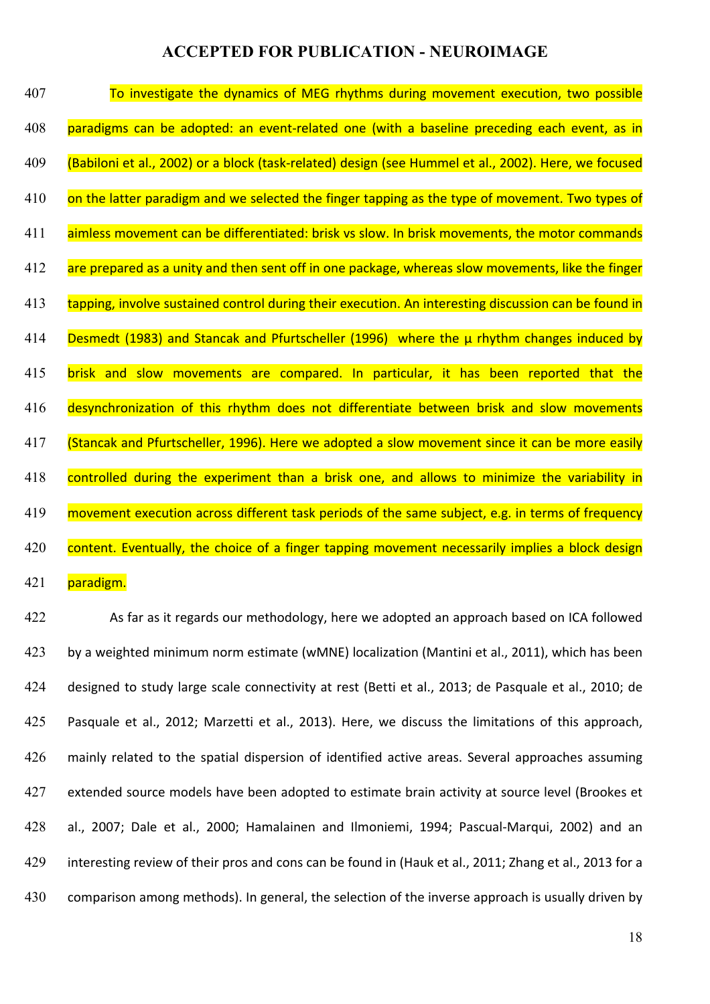| 407 | To investigate the dynamics of MEG rhythms during movement execution, two possible                   |
|-----|------------------------------------------------------------------------------------------------------|
| 408 | paradigms can be adopted: an event-related one (with a baseline preceding each event, as in          |
| 409 | (Babiloni et al., 2002) or a block (task-related) design (see Hummel et al., 2002). Here, we focused |
| 410 | on the latter paradigm and we selected the finger tapping as the type of movement. Two types of      |
| 411 | aimless movement can be differentiated: brisk vs slow. In brisk movements, the motor commands        |
| 412 | are prepared as a unity and then sent off in one package, whereas slow movements, like the finger    |
| 413 | tapping, involve sustained control during their execution. An interesting discussion can be found in |
| 414 | Desmedt (1983) and Stancak and Pfurtscheller (1996) where the µ rhythm changes induced by            |
| 415 | brisk and slow movements are compared. In particular, it has been reported that the                  |
| 416 | desynchronization of this rhythm does not differentiate between brisk and slow movements             |
| 417 | (Stancak and Pfurtscheller, 1996). Here we adopted a slow movement since it can be more easily       |
| 418 | controlled during the experiment than a brisk one, and allows to minimize the variability in         |
| 419 | movement execution across different task periods of the same subject, e.g. in terms of frequency     |
| 420 | content. Eventually, the choice of a finger tapping movement necessarily implies a block design      |
| 421 | paradigm.                                                                                            |

422 As far as it regards our methodology, here we adopted an approach based on ICA followed 423 by a weighted minimum norm estimate (wMNE) localization (Mantini et al., 2011), which has been 424 designed to study large scale connectivity at rest (Betti et al., 2013; de Pasquale et al., 2010; de 425 Pasquale et al., 2012; Marzetti et al., 2013). Here, we discuss the limitations of this approach, 426 mainly related to the spatial dispersion of identified active areas. Several approaches assuming 427 extended source models have been adopted to estimate brain activity at source level (Brookes et 428 al., 2007; Dale et al., 2000; Hamalainen and Ilmoniemi, 1994; Pascual-Marqui, 2002) and an 429 interesting review of their pros and cons can be found in (Hauk et al., 2011; Zhang et al., 2013 for a 430 comparison among methods). In general, the selection of the inverse approach is usually driven by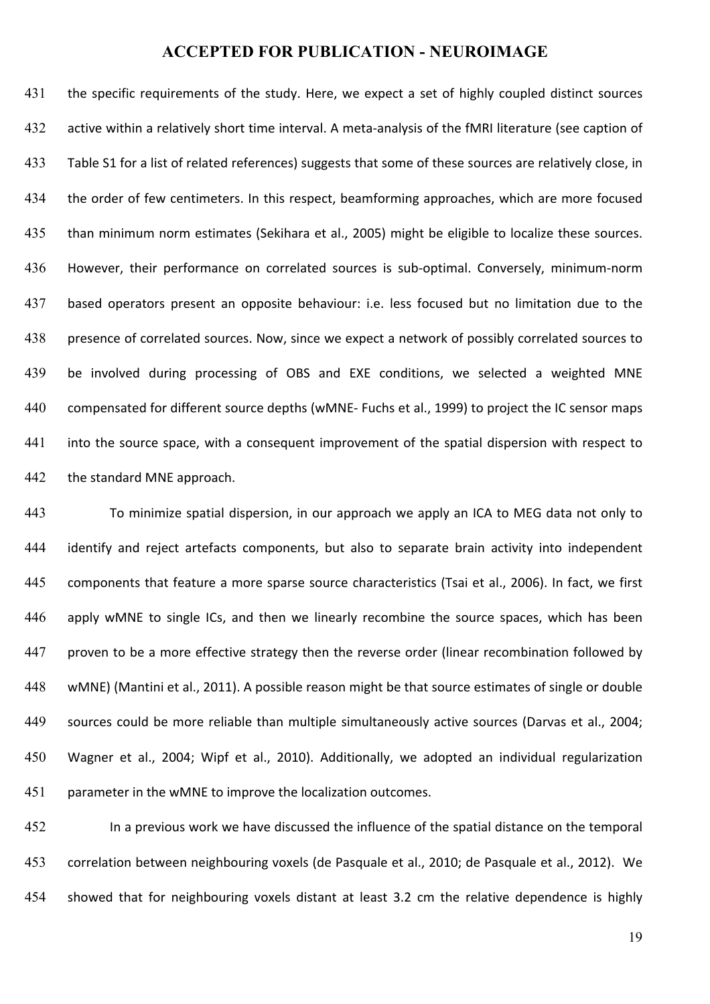431 the specific requirements of the study. Here, we expect a set of highly coupled distinct sources 432 active within a relatively short time interval. A meta-analysis of the fMRI literature (see caption of 433 Table S1 for a list of related references) suggests that some of these sources are relatively close, in 434 the order of few centimeters. In this respect, beamforming approaches, which are more focused 435 than minimum norm estimates (Sekihara et al., 2005) might be eligible to localize these sources. 436 However, their performance on correlated sources is sub-optimal. Conversely, minimum-norm 437 based operators present an opposite behaviour: i.e. less focused but no limitation due to the 438 presence of correlated sources. Now, since we expect a network of possibly correlated sources to 439 be involved during processing of OBS and EXE conditions, we selected a weighted MNE 440 compensated for different source depths (wMNE- Fuchs et al., 1999) to project the IC sensor maps 441 into the source space, with a consequent improvement of the spatial dispersion with respect to 442 the standard MNE approach.

443 To minimize spatial dispersion, in our approach we apply an ICA to MEG data not only to 444 identify and reject artefacts components, but also to separate brain activity into independent 445 components that feature a more sparse source characteristics (Tsai et al., 2006). In fact, we first 446 apply wMNE to single ICs, and then we linearly recombine the source spaces, which has been 447 proven to be a more effective strategy then the reverse order (linear recombination followed by 448 wMNE) (Mantini et al., 2011). A possible reason might be that source estimates of single or double 449 sources could be more reliable than multiple simultaneously active sources (Darvas et al., 2004; 450 Wagner et al., 2004; Wipf et al., 2010). Additionally, we adopted an individual regularization 451 parameter in the wMNE to improve the localization outcomes.

452 In a previous work we have discussed the influence of the spatial distance on the temporal 453 correlation between neighbouring voxels (de Pasquale et al., 2010; de Pasquale et al., 2012). We 454 showed that for neighbouring voxels distant at least 3.2 cm the relative dependence is highly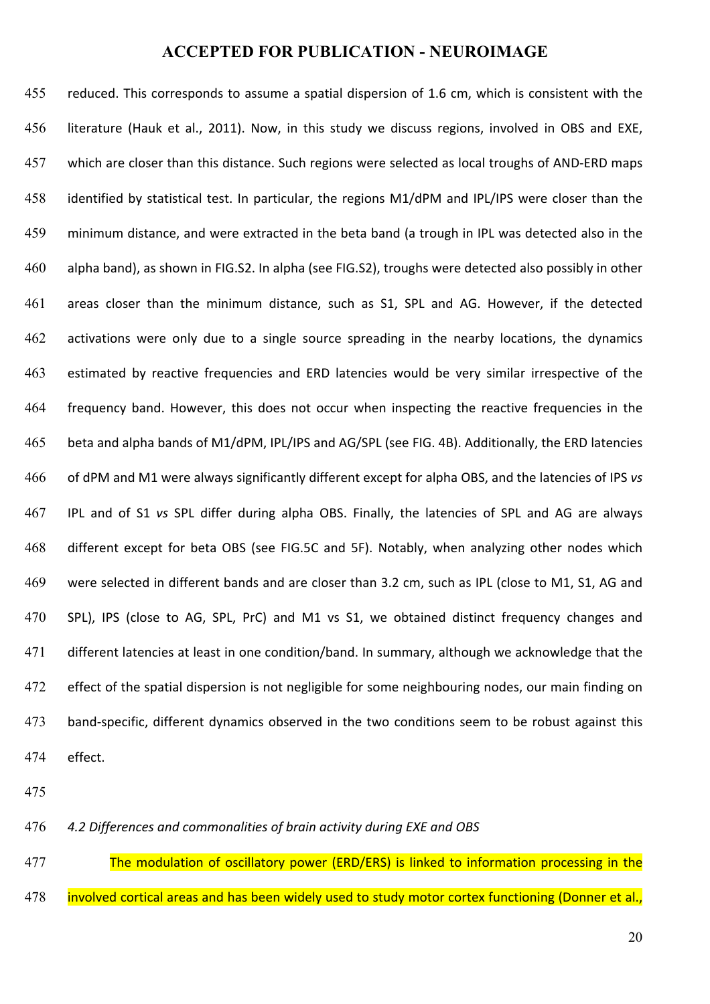455 reduced. This corresponds to assume a spatial dispersion of 1.6 cm, which is consistent with the 456 literature (Hauk et al., 2011). Now, in this study we discuss regions, involved in OBS and EXE, 457 which are closer than this distance. Such regions were selected as local troughs of AND-ERD maps 458 identified by statistical test. In particular, the regions M1/dPM and IPL/IPS were closer than the 459 minimum distance, and were extracted in the beta band (a trough in IPL was detected also in the 460 alpha band), as shown in FIG.S2. In alpha (see FIG.S2), troughs were detected also possibly in other 461 areas closer than the minimum distance, such as S1, SPL and AG. However, if the detected 462 activations were only due to a single source spreading in the nearby locations, the dynamics 463 estimated by reactive frequencies and ERD latencies would be very similar irrespective of the 464 frequency band. However, this does not occur when inspecting the reactive frequencies in the 465 beta and alpha bands of M1/dPM, IPL/IPS and AG/SPL (see FIG. 4B). Additionally, the ERD latencies 466 of dPM and M1 were always significantly different except for alpha OBS, and the latencies of IPS vs 467 IPL and of S1 vs SPL differ during alpha OBS. Finally, the latencies of SPL and AG are always 468 different except for beta OBS (see FIG.5C and 5F). Notably, when analyzing other nodes which 469 were selected in different bands and are closer than 3.2 cm, such as IPL (close to M1, S1, AG and 470 SPL), IPS (close to AG, SPL, PrC) and M1 vs S1, we obtained distinct frequency changes and 471 different latencies at least in one condition/band. In summary, although we acknowledge that the 472 effect of the spatial dispersion is not negligible for some neighbouring nodes, our main finding on 473 band-specific, different dynamics observed in the two conditions seem to be robust against this 474 effect. 

475

476 *4.2 Differences and commonalities of brain activity during EXE and OBS*

477 The modulation of oscillatory power (ERD/ERS) is linked to information processing in the 478 involved cortical areas and has been widely used to study motor cortex functioning (Donner et al.,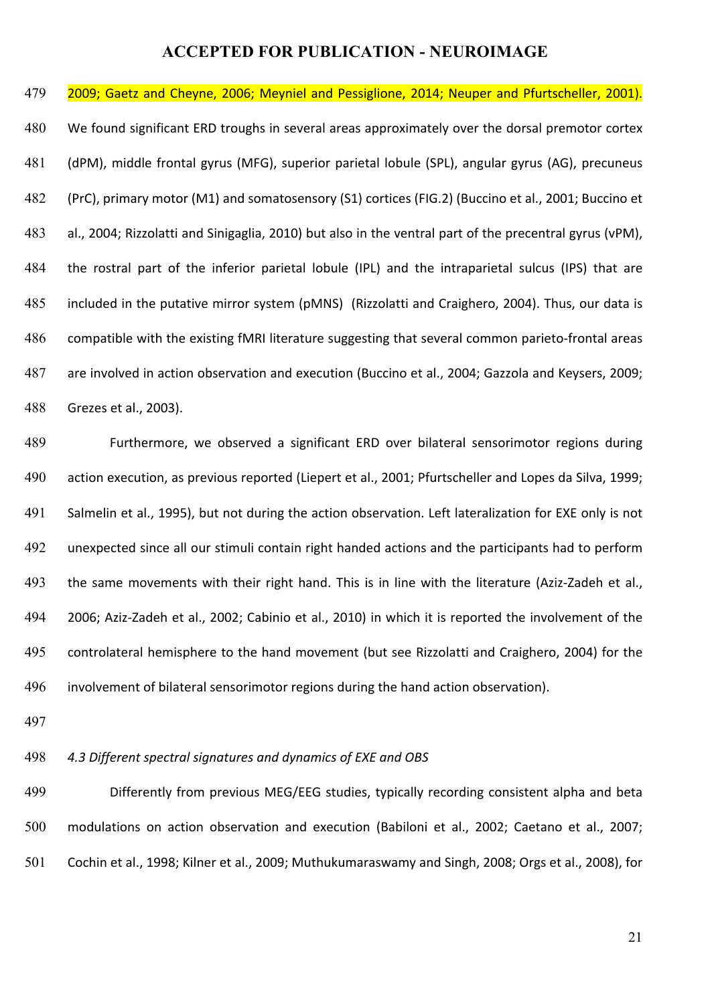479 **2009; Gaetz and Cheyne, 2006; Meyniel and Pessiglione, 2014; Neuper and Pfurtscheller, 2001).** 480 We found significant ERD troughs in several areas approximately over the dorsal premotor cortex 481 (dPM), middle frontal gyrus (MFG), superior parietal lobule (SPL), angular gyrus (AG), precuneus 482 (PrC), primary motor (M1) and somatosensory (S1) cortices (FIG.2) (Buccino et al., 2001; Buccino et 483 al., 2004; Rizzolatti and Sinigaglia, 2010) but also in the ventral part of the precentral gyrus (vPM), 484 the rostral part of the inferior parietal lobule (IPL) and the intraparietal sulcus (IPS) that are 485 included in the putative mirror system (pMNS) (Rizzolatti and Craighero, 2004). Thus, our data is 486 compatible with the existing fMRI literature suggesting that several common parieto-frontal areas 487 are involved in action observation and execution (Buccino et al., 2004; Gazzola and Keysers, 2009; 488 Grezes et al., 2003).

489 Furthermore, we observed a significant ERD over bilateral sensorimotor regions during 490 action execution, as previous reported (Liepert et al., 2001; Pfurtscheller and Lopes da Silva, 1999; 491 Salmelin et al., 1995), but not during the action observation. Left lateralization for EXE only is not 492 unexpected since all our stimuli contain right handed actions and the participants had to perform 493 the same movements with their right hand. This is in line with the literature (Aziz-Zadeh et al., 494 2006; Aziz-Zadeh et al., 2002; Cabinio et al., 2010) in which it is reported the involvement of the 495 controlateral hemisphere to the hand movement (but see Rizzolatti and Craighero, 2004) for the 496 involvement of bilateral sensorimotor regions during the hand action observation).

497

#### 498 *4.3 Different spectral signatures and dynamics of EXE and OBS*

499 **Differently** from previous MEG/EEG studies, typically recording consistent alpha and beta 500 modulations on action observation and execution (Babiloni et al., 2002; Caetano et al., 2007; 501 Cochin et al., 1998; Kilner et al., 2009; Muthukumaraswamy and Singh, 2008; Orgs et al., 2008), for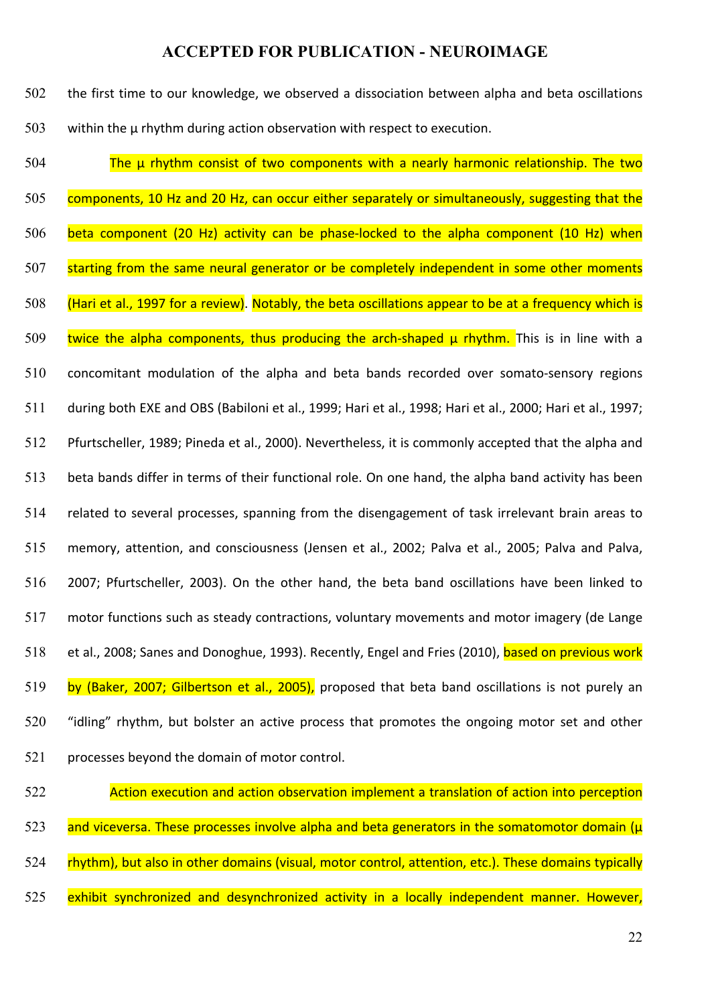| 502 | the first time to our knowledge, we observed a dissociation between alpha and beta oscillations          |
|-----|----------------------------------------------------------------------------------------------------------|
| 503 | within the $\mu$ rhythm during action observation with respect to execution.                             |
| 504 | The u rhythm consist of two components with a nearly harmonic relationship. The two                      |
| 505 | components, 10 Hz and 20 Hz, can occur either separately or simultaneously, suggesting that the          |
| 506 | beta component (20 Hz) activity can be phase-locked to the alpha component (10 Hz) when                  |
| 507 | starting from the same neural generator or be completely independent in some other moments               |
| 508 | (Hari et al., 1997 for a review). Notably, the beta oscillations appear to be at a frequency which is    |
| 509 | twice the alpha components, thus producing the arch-shaped u rhythm. This is in line with a              |
| 510 | concomitant modulation of the alpha and beta bands recorded over somato-sensory regions                  |
| 511 | during both EXE and OBS (Babiloni et al., 1999; Hari et al., 1998; Hari et al., 2000; Hari et al., 1997; |
| 512 | Pfurtscheller, 1989; Pineda et al., 2000). Nevertheless, it is commonly accepted that the alpha and      |
| 513 | beta bands differ in terms of their functional role. On one hand, the alpha band activity has been       |
| 514 | related to several processes, spanning from the disengagement of task irrelevant brain areas to          |
| 515 | memory, attention, and consciousness (Jensen et al., 2002; Palva et al., 2005; Palva and Palva,          |
| 516 | 2007; Pfurtscheller, 2003). On the other hand, the beta band oscillations have been linked to            |
| 517 | motor functions such as steady contractions, voluntary movements and motor imagery (de Lange             |
| 518 | et al., 2008; Sanes and Donoghue, 1993). Recently, Engel and Fries (2010), based on previous work        |
| 519 | by (Baker, 2007; Gilbertson et al., 2005), proposed that beta band oscillations is not purely an         |
| 520 | "idling" rhythm, but bolster an active process that promotes the ongoing motor set and other             |
| 521 | processes beyond the domain of motor control.                                                            |
| 522 | Action execution and action observation implement a translation of action into perception                |

- 523 and viceversa. These processes involve alpha and beta generators in the somatomotor domain ( $\mu$ )
- 524 rhythm), but also in other domains (visual, motor control, attention, etc.). These domains typically
- 525 exhibit synchronized and desynchronized activity in a locally independent manner. However,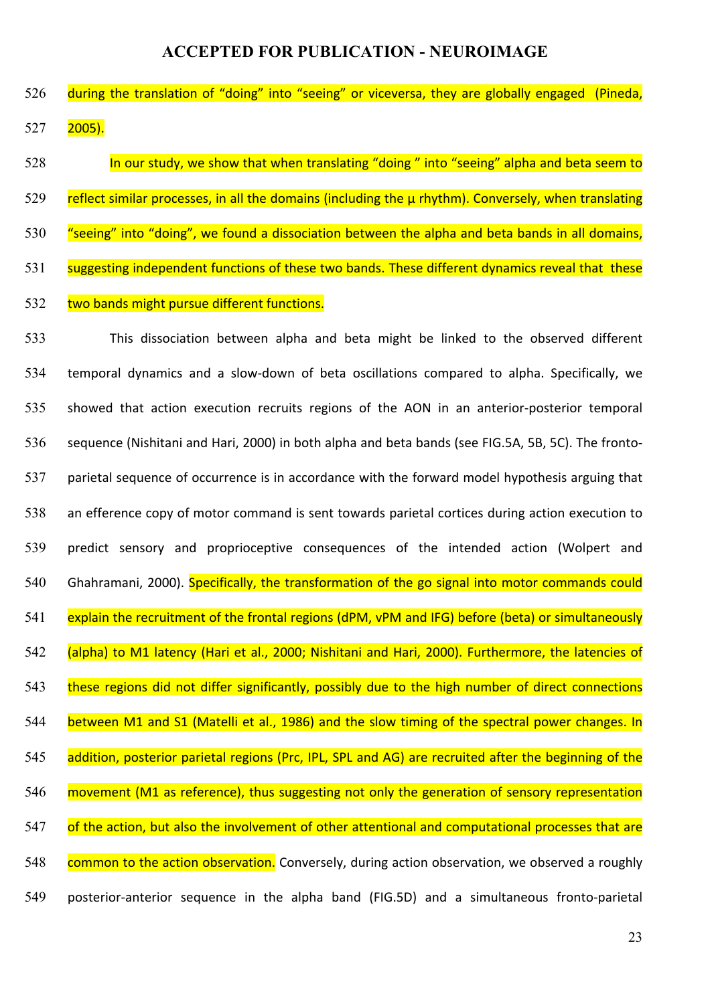526 during the translation of "doing" into "seeing" or viceversa, they are globally engaged (Pineda, 527 2005).

528 In our study, we show that when translating "doing" into "seeing" alpha and beta seem to 529 reflect similar processes, in all the domains (including the  $\mu$  rhythm). Conversely, when translating 530 "seeing" into "doing", we found a dissociation between the alpha and beta bands in all domains, 531 suggesting independent functions of these two bands. These different dynamics reveal that these 532 two bands might pursue different functions.

- 533 This dissociation between alpha and beta might be linked to the observed different 534 temporal dynamics and a slow-down of beta oscillations compared to alpha. Specifically, we 535 showed that action execution recruits regions of the AON in an anterior-posterior temporal 536 sequence (Nishitani and Hari, 2000) in both alpha and beta bands (see FIG.5A, 5B, 5C). The fronto-537 parietal sequence of occurrence is in accordance with the forward model hypothesis arguing that 538 an efference copy of motor command is sent towards parietal cortices during action execution to 539 predict sensory and proprioceptive consequences of the intended action (Wolpert and 540 Ghahramani, 2000). Specifically, the transformation of the go signal into motor commands could 541 explain the recruitment of the frontal regions (dPM, vPM and IFG) before (beta) or simultaneously 542 (alpha) to M1 latency (Hari et al., 2000; Nishitani and Hari, 2000). Furthermore, the latencies of 543 these regions did not differ significantly, possibly due to the high number of direct connections 544 between M1 and S1 (Matelli et al., 1986) and the slow timing of the spectral power changes. In 545 addition, posterior parietal regions (Prc, IPL, SPL and AG) are recruited after the beginning of the 546 movement (M1 as reference), thus suggesting not only the generation of sensory representation 547 of the action, but also the involvement of other attentional and computational processes that are 548 common to the action observation. Conversely, during action observation, we observed a roughly
- 549 posterior-anterior sequence in the alpha band (FIG.5D) and a simultaneous fronto-parietal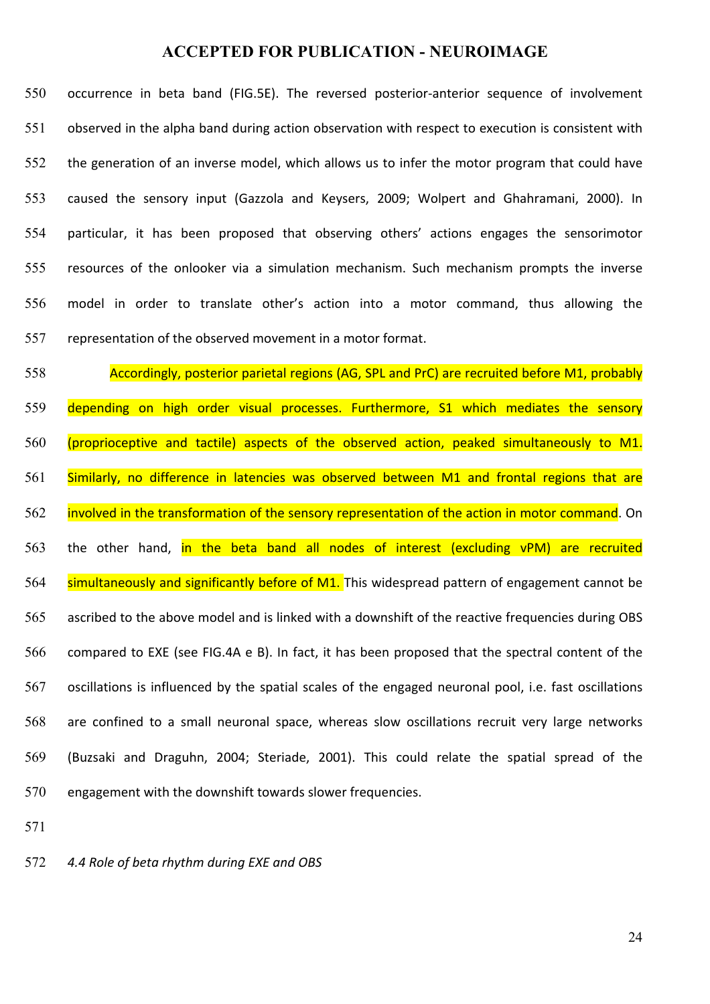550 occurrence in beta band (FIG.5E). The reversed posterior-anterior sequence of involvement 551 observed in the alpha band during action observation with respect to execution is consistent with 552 the generation of an inverse model, which allows us to infer the motor program that could have 553 caused the sensory input (Gazzola and Keysers, 2009; Wolpert and Ghahramani, 2000). In 554 particular, it has been proposed that observing others' actions engages the sensorimotor 555 resources of the onlooker via a simulation mechanism. Such mechanism prompts the inverse 556 model in order to translate other's action into a motor command, thus allowing the 557 representation of the observed movement in a motor format.

558 Accordingly, posterior parietal regions (AG, SPL and PrC) are recruited before M1, probably 559 depending on high order visual processes. Furthermore, S1 which mediates the sensory 560 (proprioceptive and tactile) aspects of the observed action, peaked simultaneously to M1. 561 Similarly, no difference in latencies was observed between M1 and frontal regions that are 562 involved in the transformation of the sensory representation of the action in motor command. On 563 the other hand, in the beta band all nodes of interest (excluding vPM) are recruited 564 simultaneously and significantly before of M1. This widespread pattern of engagement cannot be 565 ascribed to the above model and is linked with a downshift of the reactive frequencies during OBS 566 compared to EXE (see FIG.4A e B). In fact, it has been proposed that the spectral content of the 567 oscillations is influenced by the spatial scales of the engaged neuronal pool, i.e. fast oscillations 568 are confined to a small neuronal space, whereas slow oscillations recruit very large networks 569 (Buzsaki and Draguhn, 2004; Steriade, 2001). This could relate the spatial spread of the 570 engagement with the downshift towards slower frequencies.

571

572 4.4 Role of beta rhythm during *EXE* and OBS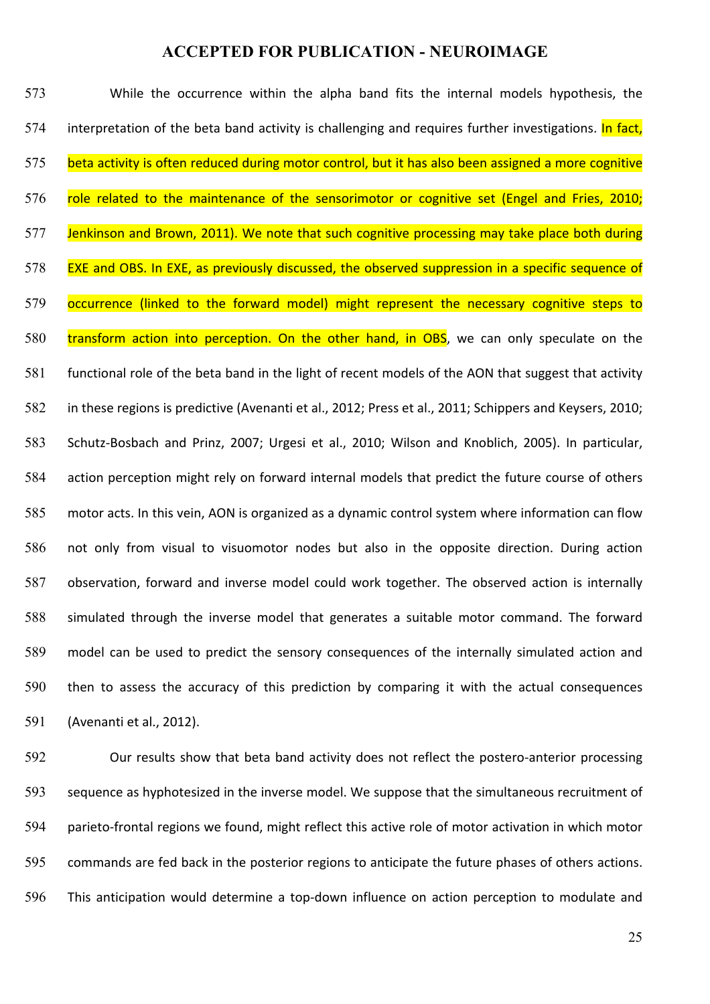573 While the occurrence within the alpha band fits the internal models hypothesis, the 574 interpretation of the beta band activity is challenging and requires further investigations. In fact, 575 beta activity is often reduced during motor control, but it has also been assigned a more cognitive 576 role related to the maintenance of the sensorimotor or cognitive set (Engel and Fries, 2010; 577 Jenkinson and Brown, 2011). We note that such cognitive processing may take place both during 578 EXE and OBS. In EXE, as previously discussed, the observed suppression in a specific sequence of 579 occurrence (linked to the forward model) might represent the necessary cognitive steps to 580 transform action into perception. On the other hand, in OBS, we can only speculate on the 581 functional role of the beta band in the light of recent models of the AON that suggest that activity 582 in these regions is predictive (Avenanti et al., 2012; Press et al., 2011; Schippers and Keysers, 2010; 583 Schutz-Bosbach and Prinz, 2007; Urgesi et al., 2010; Wilson and Knoblich, 2005). In particular, 584 action perception might rely on forward internal models that predict the future course of others 585 motor acts. In this vein, AON is organized as a dynamic control system where information can flow 586 not only from visual to visuomotor nodes but also in the opposite direction. During action 587 observation, forward and inverse model could work together. The observed action is internally 588 simulated through the inverse model that generates a suitable motor command. The forward 589 model can be used to predict the sensory consequences of the internally simulated action and 590 then to assess the accuracy of this prediction by comparing it with the actual consequences 591 (Avenanti et al., 2012).

592 Our results show that beta band activity does not reflect the postero-anterior processing 593 sequence as hyphotesized in the inverse model. We suppose that the simultaneous recruitment of 594 parieto-frontal regions we found, might reflect this active role of motor activation in which motor 595 commands are fed back in the posterior regions to anticipate the future phases of others actions. 596 This anticipation would determine a top-down influence on action perception to modulate and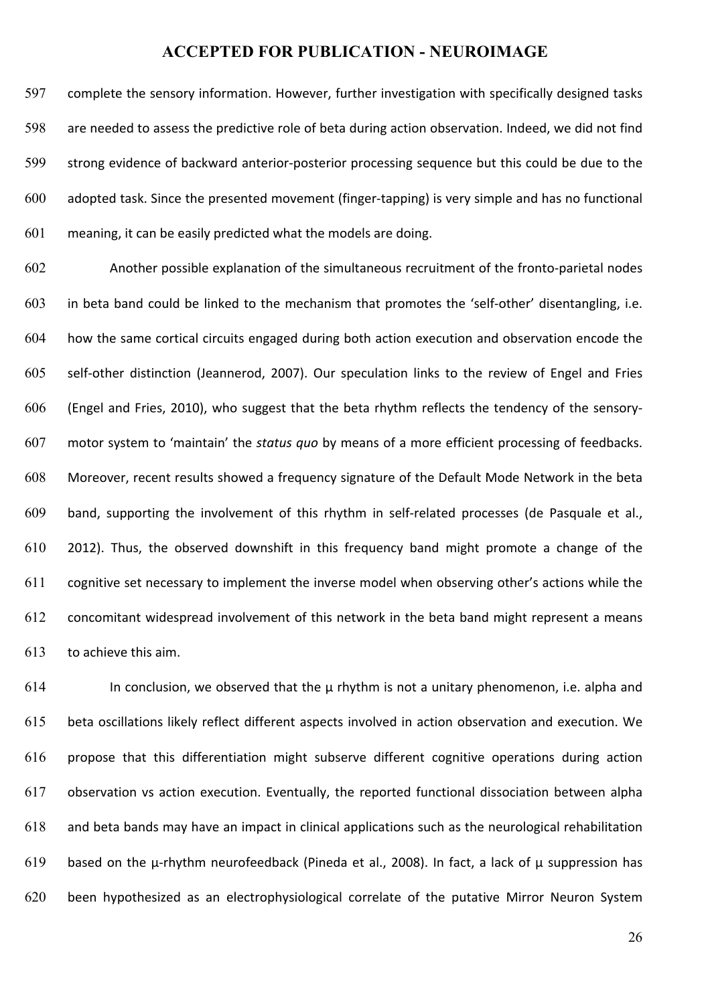597 complete the sensory information. However, further investigation with specifically designed tasks 598 are needed to assess the predictive role of beta during action observation. Indeed, we did not find 599 strong evidence of backward anterior-posterior processing sequence but this could be due to the  $600$  adopted task. Since the presented movement (finger-tapping) is very simple and has no functional  $601$  meaning, it can be easily predicted what the models are doing.

602 Another possible explanation of the simultaneous recruitment of the fronto-parietal nodes 603 in beta band could be linked to the mechanism that promotes the 'self-other' disentangling, i.e. 604 how the same cortical circuits engaged during both action execution and observation encode the 605 self-other distinction (Jeannerod, 2007). Our speculation links to the review of Engel and Fries 606 (Engel and Fries, 2010), who suggest that the beta rhythm reflects the tendency of the sensory-607 motor system to 'maintain' the *status quo* by means of a more efficient processing of feedbacks. 608 Moreover, recent results showed a frequency signature of the Default Mode Network in the beta 609 band, supporting the involvement of this rhythm in self-related processes (de Pasquale et al.,  $610$  2012). Thus, the observed downshift in this frequency band might promote a change of the 611 cognitive set necessary to implement the inverse model when observing other's actions while the 612 concomitant widespread involvement of this network in the beta band might represent a means 613 to achieve this aim.

614 In conclusion, we observed that the  $\mu$  rhythm is not a unitary phenomenon, i.e. alpha and 615 beta oscillations likely reflect different aspects involved in action observation and execution. We 616 propose that this differentiation might subserve different cognitive operations during action 617 observation vs action execution. Eventually, the reported functional dissociation between alpha 618 and beta bands may have an impact in clinical applications such as the neurological rehabilitation 619 based on the  $\mu$ -rhythm neurofeedback (Pineda et al., 2008). In fact, a lack of  $\mu$  suppression has 620 been hypothesized as an electrophysiological correlate of the putative Mirror Neuron System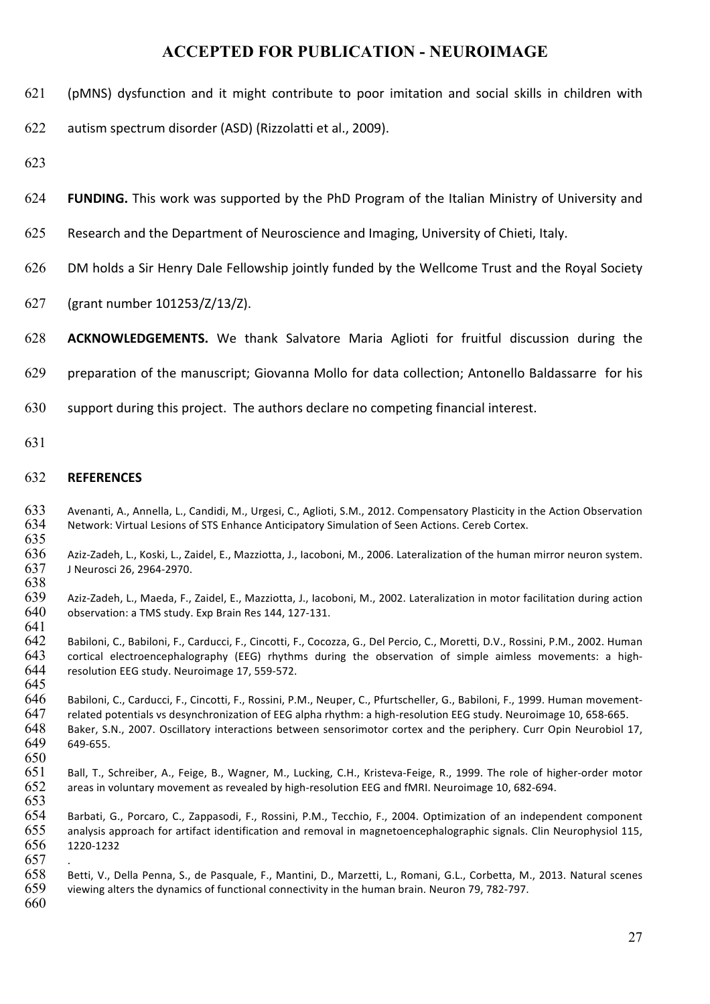621 (pMNS) dysfunction and it might contribute to poor imitation and social skills in children with

622 autism spectrum disorder (ASD) (Rizzolatti et al., 2009).

- 623
- 624 **FUNDING.** This work was supported by the PhD Program of the Italian Ministry of University and
- 625 Research and the Department of Neuroscience and Imaging, University of Chieti, Italy.
- 626 DM holds a Sir Henry Dale Fellowship iointly funded by the Wellcome Trust and the Royal Society
- 627 (grant number 101253/Z/13/Z).
- 628 **ACKNOWLEDGEMENTS.** We thank Salvatore Maria Aglioti for fruitful discussion during the
- 629 preparation of the manuscript; Giovanna Mollo for data collection; Antonello Baldassarre for his
- 630 support during this project. The authors declare no competing financial interest.
- 631

#### 632 **REFERENCES**

- 633 Avenanti, A., Annella, L., Candidi, M., Urgesi, C., Aglioti, S.M., 2012. Compensatory Plasticity in the Action Observation 634 Network: Virtual Lesions of STS Enhance Anticipatory Simulation of Seen Actions. Cereb Cortex. 635
- 636 Aziz-Zadeh, L., Koski, L., Zaidel, E., Mazziotta, J., Iacoboni, M., 2006. Lateralization of the human mirror neuron system. 637 J Neurosci 26, 2964-2970.
- 638<br>639 Aziz-Zadeh, L., Maeda, F., Zaidel, E., Mazziotta, J., Iacoboni, M., 2002. Lateralization in motor facilitation during action 640 observation: a TMS study. Exp Brain Res 144, 127-131.
- 641 Babiloni, C., Babiloni, F., Carducci, F., Cincotti, F., Cocozza, G., Del Percio, C., Moretti, D.V., Rossini, P.M., 2002. Human 643 cortical electroencephalography (EEG) rhythms during the observation of simple aimless movements: a high-644 resolution EEG study. Neuroimage 17, 559-572.
- 646 Babiloni, C., Carducci, F., Cincotti, F., Rossini, P.M., Neuper, C., Pfurtscheller, G., Babiloni, F., 1999. Human movement-647 related potentials vs desynchronization of EEG alpha rhythm: a high-resolution EEG study. Neuroimage 10, 658-665. 648 Baker, S.N., 2007. Oscillatory interactions between sensorimotor cortex and the periphery. Curr Opin Neurobiol 17,<br>649 649-655. 649 649-655.
- 651 Ball, T., Schreiber, A., Feige, B., Wagner, M., Lucking, C.H., Kristeva-Feige, R., 1999. The role of higher-order motor 652 areas in voluntary movement as revealed by high-resolution EEG and fMRI. Neuroimage 10, 682-694.
- 653<br>654 Barbati, G., Porcaro, C., Zappasodi, F., Rossini, P.M., Tecchio, F., 2004. Optimization of an independent component  $655$  analysis approach for artifact identification and removal in magnetoencephalographic signals. Clin Neurophysiol 115, 656 1220-1232
- 658 Betti, V., Della Penna, S., de Pasquale, F., Mantini, D., Marzetti, L., Romani, G.L., Corbetta, M., 2013. Natural scenes 659 viewing alters the dynamics of functional connectivity in the human brain. Neuron 79, 782-797 viewing alters the dynamics of functional connectivity in the human brain. Neuron 79, 782-797.
- 660

657 .

645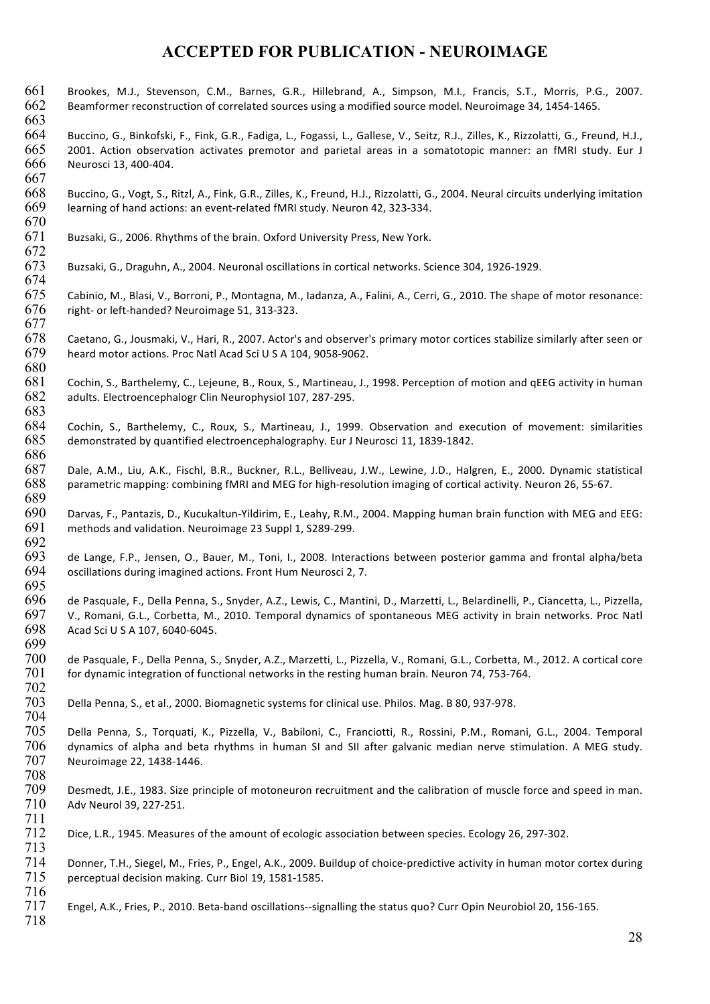- 661 Brookes, M.J., Stevenson, C.M., Barnes, G.R., Hillebrand, A., Simpson, M.I., Francis, S.T., Morris, P.G., 2007. 662 Beamformer reconstruction of correlated sources using a modified source model. Neuroimage 34, 1454-1465.
- 663 664 Buccino, G., Binkofski, F., Fink, G.R., Fadiga, L., Fogassi, L., Gallese, V., Seitz, R.J., Zilles, K., Rizzolatti, G., Freund, H.J., 665 2001. Action observation activates premotor and parietal areas in a somatotopic manner: an fMRI study. Eur J 666 Neurosci 13, 400-404.
- 668 Buccino, G., Vogt, S., Ritzl, A., Fink, G.R., Zilles, K., Freund, H.J., Rizzolatti, G., 2004. Neural circuits underlying imitation 669 learning of hand actions: an event-related fMRI study. Neuron 42, 323-334.
- 671 Buzsaki, G., 2006. Rhythms of the brain. Oxford University Press, New York.
- 672<br>673 Buzsaki, G., Draguhn, A., 2004. Neuronal oscillations in cortical networks. Science 304, 1926-1929.
- 675 Cabinio, M., Blasi, V., Borroni, P., Montagna, M., Iadanza, A., Falini, A., Cerri, G., 2010. The shape of motor resonance:  $676$  right- or left-handed? Neuroimage 51, 313-323.
- 678 Caetano, G., Jousmaki, V., Hari, R., 2007. Actor's and observer's primary motor cortices stabilize similarly after seen or 679 heard motor actions. Proc Natl Acad Sci U S A 104, 9058-9062. 680
- 681 Cochin, S., Barthelemy, C., Lejeune, B., Roux, S., Martineau, J., 1998. Perception of motion and qEEG activity in human 682 adults. Electroencephalogr Clin Neurophysiol 107, 287-295.
- 683 Cochin, S., Barthelemy, C., Roux, S., Martineau, J., 1999. Observation and execution of movement: similarities 685 demonstrated by quantified electroencephalography. Eur J Neurosci 11, 1839-1842.
- 686<br>687 Dale, A.M., Liu, A.K., Fischl, B.R., Buckner, R.L., Belliveau, J.W., Lewine, J.D., Halgren, E., 2000. Dynamic statistical 688 parametric mapping: combining fMRI and MEG for high-resolution imaging of cortical activity. Neuron 26, 55-67.
- 690 Darvas, F., Pantazis, D., Kucukaltun-Yildirim, E., Leahy, R.M., 2004. Mapping human brain function with MEG and EEG:<br>691 methods and validation. Neuroimage 23 Suppl 1, S289-299. methods and validation. Neuroimage 23 Suppl 1, S289-299.
- 692<br>693 693 de Lange, F.P., Jensen, O., Bauer, M., Toni, I., 2008. Interactions between posterior gamma and frontal alpha/beta<br>694 oscillations during imagined actions. Front Hum Neurosci 2, 7. oscillations during imagined actions. Front Hum Neurosci 2, 7.
- 696 de Pasquale, F., Della Penna, S., Snyder, A.Z., Lewis, C., Mantini, D., Marzetti, L., Belardinelli, P., Ciancetta, L., Pizzella, 697 V., Romani, G.L., Corbetta, M., 2010. Temporal dynamics of spontaneous MEG activity in brain networks. Proc Natl 698 Acad Sci U S A 107, 6040-6045.
- 700 de Pasquale, F., Della Penna, S., Snyder, A.Z., Marzetti, L., Pizzella, V., Romani, G.L., Corbetta, M., 2012. A cortical core<br>701 for dynamic integration of functional networks in the resting human brain. Neuron 74, 75 for dynamic integration of functional networks in the resting human brain. Neuron 74, 753-764. 702
- 703 Della Penna, S., et al., 2000. Biomagnetic systems for clinical use. Philos. Mag. B 80, 937-978.
- 704 Della Penna, S., Torquati, K., Pizzella, V., Babiloni, C., Franciotti, R., Rossini, P.M., Romani, G.L., 2004. Temporal 706 dynamics of alpha and beta rhythms in human SI and SII after galvanic median nerve stimulation. A MEG study. 707 Neuroimage 22, 1438-1446.
- 708 709 Desmedt, J.E., 1983. Size principle of motoneuron recruitment and the calibration of muscle force and speed in man.<br>710 Adv Neurol 39, 227-251. Adv Neurol 39, 227-251.
- 711 Dice, L.R., 1945. Measures of the amount of ecologic association between species. Ecology 26, 297-302.
- 714 Donner, T.H., Siegel, M., Fries, P., Engel, A.K., 2009. Buildup of choice-predictive activity in human motor cortex during<br>715 perceptual decision making. Curr Biol 19, 1581-1585. perceptual decision making. Curr Biol 19, 1581-1585.
- 717 Engel, A.K., Fries, P., 2010. Beta-band oscillations--signalling the status quo? Curr Opin Neurobiol 20, 156-165.
- 718

716

713

667

670

674

677

689

695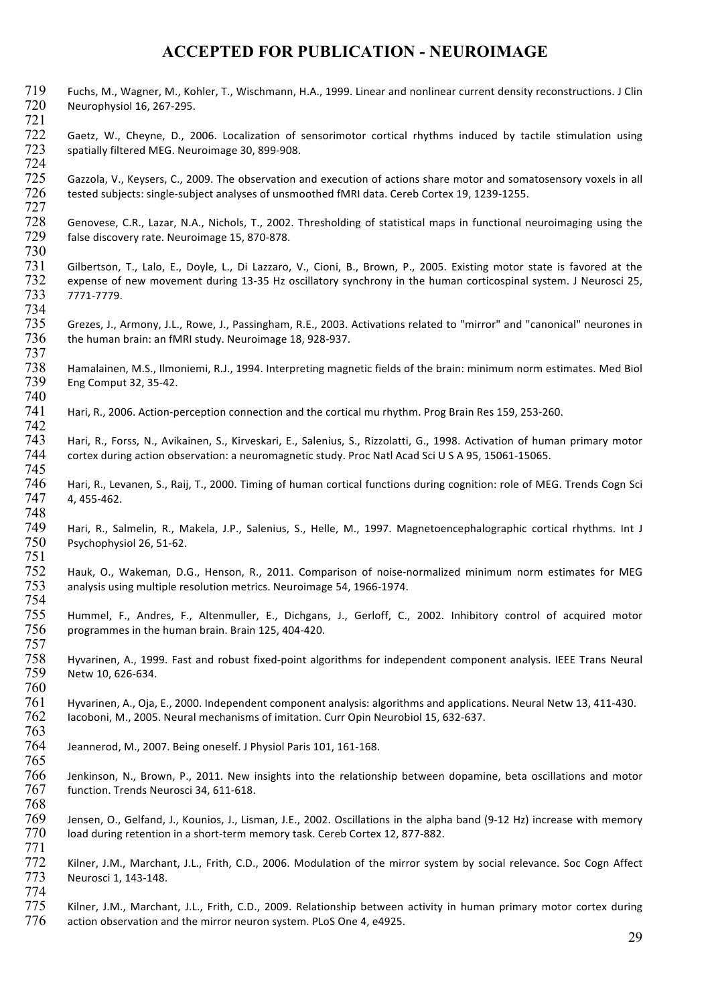719 Fuchs, M., Wagner, M., Kohler, T., Wischmann, H.A., 1999. Linear and nonlinear current density reconstructions. J Clin<br>720 Neurophysiol 16, 267-295. Neurophysiol 16, 267-295. 721 722 Gaetz, W., Cheyne, D., 2006. Localization of sensorimotor cortical rhythms induced by tactile stimulation using<br>723 spatially filtered MEG. Neuroimage 30, 899-908. spatially filtered MEG. Neuroimage 30, 899-908. 724  $725$  Gazzola, V., Keysers, C., 2009. The observation and execution of actions share motor and somatosensory voxels in all  $726$  tested subjects: single-subject analyses of unsmoothed fMRI data. Cereb Cortex 19, 1239-1255 tested subjects: single-subject analyses of unsmoothed fMRI data. Cereb Cortex 19, 1239-1255. 727 728 Genovese, C.R., Lazar, N.A., Nichols, T., 2002. Thresholding of statistical maps in functional neuroimaging using the 729 false discovery rate. Neuroimage 15, 870-878. 730 731 Gilbertson, T., Lalo, E., Doyle, L., Di Lazzaro, V., Cioni, B., Brown, P., 2005. Existing motor state is favored at the<br>732 expense of new movement during 13-35 Hz oscillatory synchrony in the human corticospinal syste 732 expense of new movement during 13-35 Hz oscillatory synchrony in the human corticospinal system. J Neurosci 25,<br>733 7771-7779. 733 7771-7779. 734<br>735 Grezes, J., Armony, J.L., Rowe, J., Passingham, R.E., 2003. Activations related to "mirror" and "canonical" neurones in  $736$  the human brain: an fMRI study. Neuroimage 18, 928-937. 737<br>738 738 Hamalainen, M.S., Ilmoniemi, R.J., 1994. Interpreting magnetic fields of the brain: minimum norm estimates. Med Biol<br>739 Eng Comput 32, 35-42. Eng Comput 32, 35-42. 740 741 Hari, R., 2006. Action-perception connection and the cortical mu rhythm. Prog Brain Res 159, 253-260. 742 Hari, R., Forss, N., Avikainen, S., Kirveskari, E., Salenius, S., Rizzolatti, G., 1998. Activation of human primary motor 744 cortex during action observation: a neuromagnetic study. Proc Natl Acad Sci U S A 95, 15061-15065. 745 Hari, R., Levanen, S., Raij, T., 2000. Timing of human cortical functions during cognition: role of MEG. Trends Cogn Sci  $747$  4, 455-462. 748 Hari, R., Salmelin, R., Makela, J.P., Salenius, S., Helle, M., 1997. Magnetoencephalographic cortical rhythms. Int J  $750$  Psychophysiol 26, 51-62. 751 752 Hauk, O., Wakeman, D.G., Henson, R., 2011. Comparison of noise-normalized minimum norm estimates for MEG<br>753 analysis using multiple resolution metrics. Neuroimage 54, 1966-1974. analysis using multiple resolution metrics. Neuroimage 54, 1966-1974. 754 755 Hummel, F., Andres, F., Altenmuller, E., Dichgans, J., Gerloff, C., 2002. Inhibitory control of acquired motor 756 programmes in the human brain. Brain 125, 404-420. programmes in the human brain. Brain 125, 404-420. 757 758 Hyvarinen, A., 1999. Fast and robust fixed-point algorithms for independent component analysis. IEEE Trans Neural<br>759 Netw 10, 626-634. Netw 10, 626-634. 760  $761$  Hyvarinen, A., Oja, E., 2000. Independent component analysis: algorithms and applications. Neural Netw 13, 411-430. 762 Iacoboni, M., 2005. Neural mechanisms of imitation. Curr Opin Neurobiol 15, 632-637. 763 764 Jeannerod, M., 2007. Being oneself. J Physiol Paris 101, 161-168. 765 Jenkinson, N., Brown, P., 2011. New insights into the relationship between dopamine, beta oscillations and motor 767 function. Trends Neurosci 34, 611-618. 768 769 Jensen, O., Gelfand, J., Kounios, J., Lisman, J.E., 2002. Oscillations in the alpha band (9-12 Hz) increase with memory<br>770 Ioad during retention in a short-term memory task. Cereb Cortex 12, 877-882. load during retention in a short-term memory task. Cereb Cortex 12, 877-882. 771 772 Kilner, J.M., Marchant, J.L., Frith, C.D., 2006. Modulation of the mirror system by social relevance. Soc Cogn Affect<br>773 Neurosci 1, 143-148. Neurosci 1, 143-148. 774  $775$  Kilner, J.M., Marchant, J.L., Frith, C.D., 2009. Relationship between activity in human primary motor cortex during  $776$  action observation and the mirror neuron system. PLoS One 4, e4925.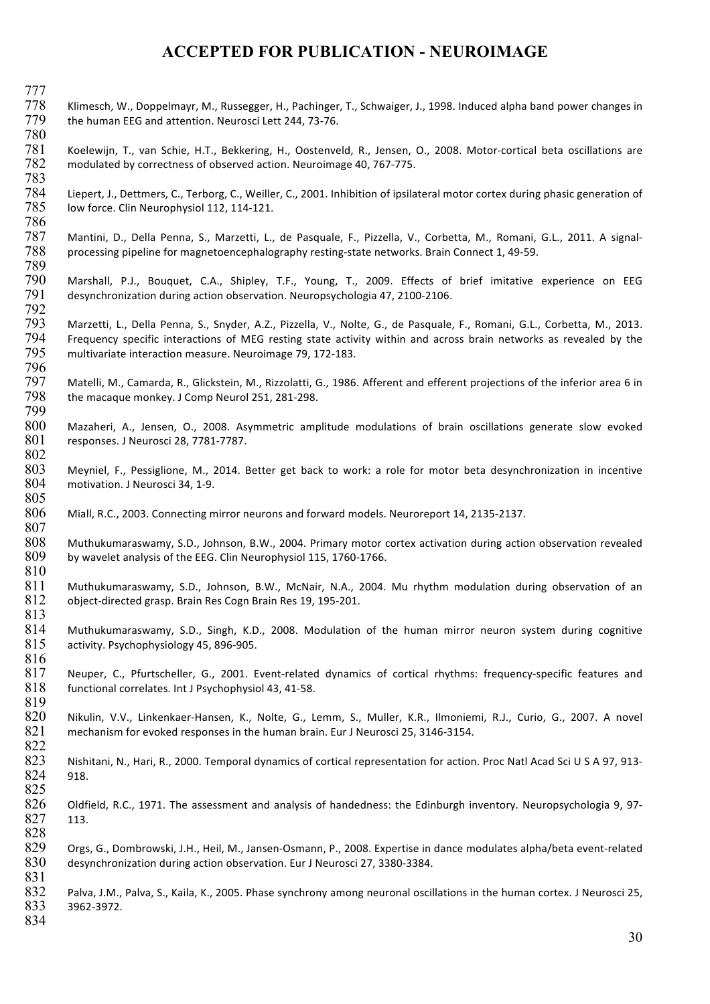- 777 Klimesch, W., Doppelmayr, M., Russegger, H., Pachinger, T., Schwaiger, J., 1998. Induced alpha band power changes in 779 the human EEG and attention. Neurosci Lett 244, 73-76.
- 780 Koelewijn, T., van Schie, H.T., Bekkering, H., Oostenveld, R., Jensen, O., 2008. Motor-cortical beta oscillations are 782 modulated by correctness of observed action. Neuroimage 40, 767-775.
- 783 Liepert, J., Dettmers, C., Terborg, C., Weiller, C., 2001. Inhibition of ipsilateral motor cortex during phasic generation of 785 low force. Clin Neurophysiol 112, 114-121.
- 787 Mantini, D., Della Penna, S., Marzetti, L., de Pasquale, F., Pizzella, V., Corbetta, M., Romani, G.L., 2011. A signal-788 processing pipeline for magnetoencephalography resting-state networks. Brain Connect 1, 49-59.
- 789 790 Marshall, P.J., Bouquet, C.A., Shipley, T.F., Young, T., 2009. Effects of brief imitative experience on EEG<br>791 desynchronization during action observation. Neuropsychologia 47, 2100-2106. desynchronization during action observation. Neuropsychologia 47, 2100-2106.
- 792<br>793 Marzetti, L., Della Penna, S., Snyder, A.Z., Pizzella, V., Nolte, G., de Pasquale, F., Romani, G.L., Corbetta, M., 2013. 794 Frequency specific interactions of MEG resting state activity within and across brain networks as revealed by the  $795$  multivariate interaction measure. Neuroimage 79, 172-183. multivariate interaction measure. Neuroimage 79, 172-183.
- 796<br>797 Matelli, M., Camarda, R., Glickstein, M., Rizzolatti, G., 1986. Afferent and efferent projections of the inferior area 6 in 798 the macaque monkey. J Comp Neurol 251, 281-298.
- 799 800 Mazaheri, A., Jensen, O., 2008. Asymmetric amplitude modulations of brain oscillations generate slow evoked<br>801 responses. J Neurosci 28, 7781-7787. responses. J Neurosci 28, 7781-7787.
- 802<br>803 803 Meyniel, F., Pessiglione, M., 2014. Better get back to work: a role for motor beta desynchronization in incentive<br>804 motivation. J Neurosci 34, 1-9. motivation. J Neurosci 34, 1-9.
- 806 Miall, R.C., 2003. Connecting mirror neurons and forward models. Neuroreport 14, 2135-2137.
- 808 Muthukumaraswamy, S.D., Johnson, B.W., 2004. Primary motor cortex activation during action observation revealed 809 by wavelet analysis of the EEG. Clin Neurophysiol 115, 1760-1766. by wavelet analysis of the EEG. Clin Neurophysiol 115, 1760-1766. 810
- 811 Muthukumaraswamy, S.D., Johnson, B.W., McNair, N.A., 2004. Mu rhythm modulation during observation of an 812 object-directed grasp. Brain Res Cogn Brain Res 19, 195-201.
- $813$ <br> $814$ Muthukumaraswamy, S.D., Singh, K.D., 2008. Modulation of the human mirror neuron system during cognitive 815 activity. Psychophysiology 45, 896-905.
- 816<br>817 817 Neuper, C., Pfurtscheller, G., 2001. Event-related dynamics of cortical rhythms: frequency-specific features and functional correlates. Int J Psychophysiol 43, 41-58. functional correlates. Int J Psychophysiol 43, 41-58. 819
- 820 Nikulin, V.V., Linkenkaer-Hansen, K., Nolte, G., Lemm, S., Muller, K.R., Ilmoniemi, R.J., Curio, G., 2007. A novel<br>821 mechanism for evoked responses in the human brain. Eur J Neurosci 25, 3146-3154. mechanism for evoked responses in the human brain. Eur J Neurosci 25, 3146-3154.
- 823 Nishitani, N., Hari, R., 2000. Temporal dynamics of cortical representation for action. Proc Natl Acad Sci U S A 97, 913-824 918. 825
- 826 Oldfield, R.C., 1971. The assessment and analysis of handedness: the Edinburgh inventory. Neuropsychologia 9, 97-827 113. 828
- 829 Orgs, G., Dombrowski, J.H., Heil, M., Jansen-Osmann, P., 2008. Expertise in dance modulates alpha/beta event-related 830 desynchronization during action observation. Eur J Neurosci 27, 3380-3384.
- 832 Palva, J.M., Palva, S., Kaila, K., 2005. Phase synchrony among neuronal oscillations in the human cortex. J Neurosci 25, 833 3962-3972.
- 834

831

822

786

805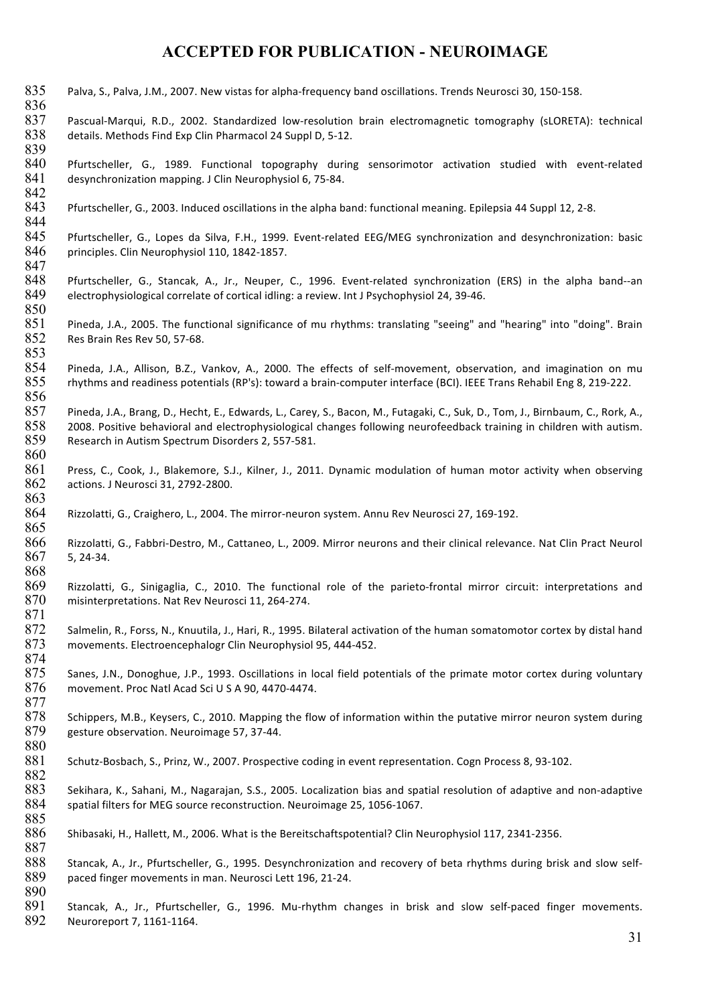835 Palva, S., Palva, J.M., 2007. New vistas for alpha-frequency band oscillations. Trends Neurosci 30, 150-158. 836 837 Pascual-Marqui, R.D., 2002. Standardized low-resolution brain electromagnetic tomography (sLORETA): technical 838 details. Methods Find Exp Clin Pharmacol 24 Suppl D, 5-12. 839 840 Pfurtscheller, G., 1989. Functional topography during sensorimotor activation studied with event-related 841 desynchronization mapping. J Clin Neurophysiol 6, 75-84. 842 843 Pfurtscheller, G., 2003. Induced oscillations in the alpha band: functional meaning. Epilepsia 44 Suppl 12, 2-8. 844 845 Pfurtscheller, G., Lopes da Silva, F.H., 1999. Event-related EEG/MEG synchronization and desynchronization: basic 846 principles. Clin Neurophysiol 110, 1842-1857. 847<br>848 Pfurtscheller, G., Stancak, A., Jr., Neuper, C., 1996. Event-related synchronization (ERS) in the alpha band--an 849 electrophysiological correlate of cortical idling: a review. Int J Psychophysiol 24, 39-46. 850<br>851 Pineda, J.A., 2005. The functional significance of mu rhythms: translating "seeing" and "hearing" into "doing". Brain 852 Res Brain Res Rev 50, 57-68. 853<br>854 854 Pineda, J.A., Allison, B.Z., Vankov, A., 2000. The effects of self-movement, observation, and imagination on mu<br>855 rhythms and readiness potentials (RP's): toward a brain-computer interface (BCI). IEEE Trans Rehabil E rhythms and readiness potentials (RP's): toward a brain-computer interface (BCI). IEEE Trans Rehabil Eng 8, 219-222. 856 857 Pineda, J.A., Brang, D., Hecht, E., Edwards, L., Carey, S., Bacon, M., Futagaki, C., Suk, D., Tom, J., Birnbaum, C., Rork, A.,<br>858 2008. Positive behavioral and electrophysiological changes following neurofeedback trai 858 2008. Positive behavioral and electrophysiological changes following neurofeedback training in children with autism.<br>859 Research in Autism Spectrum Disorders 2, 557-581. Research in Autism Spectrum Disorders 2, 557-581. 860<br>861 Press, C., Cook, J., Blakemore, S.J., Kilner, J., 2011. Dynamic modulation of human motor activity when observing 862 actions. J Neurosci 31, 2792-2800. 863 864 Rizzolatti, G., Craighero, L., 2004. The mirror-neuron system. Annu Rev Neurosci 27, 169-192. 865 866 Rizzolatti, G., Fabbri-Destro, M., Cattaneo, L., 2009. Mirror neurons and their clinical relevance. Nat Clin Pract Neurol 867 5, 24-34. 868 869 Rizzolatti, G., Sinigaglia, C., 2010. The functional role of the parieto-frontal mirror circuit: interpretations and 870 misinterpretations. Nat Rev Neurosci 11, 264-274. 871 Salmelin, R., Forss, N., Knuutila, J., Hari, R., 1995. Bilateral activation of the human somatomotor cortex by distal hand 873 movements. Electroencephalogr Clin Neurophysiol 95, 444-452. 874 875 Sanes, J.N., Donoghue, J.P., 1993. Oscillations in local field potentials of the primate motor cortex during voluntary<br>876 movement. Proc Natl Acad Sci U S A 90, 4470-4474. movement. Proc Natl Acad Sci U S A 90, 4470-4474. 877 878 Schippers, M.B., Keysers, C., 2010. Mapping the flow of information within the putative mirror neuron system during  $879$  gesture observation. Neuroimage 57, 37-44. gesture observation. Neuroimage 57, 37-44. 880 881 Schutz-Bosbach, S., Prinz, W., 2007. Prospective coding in event representation. Cogn Process 8, 93-102. 882 883 Sekihara, K., Sahani, M., Nagarajan, S.S., 2005. Localization bias and spatial resolution of adaptive and non-adaptive 884 spatial filters for MEG source reconstruction. Neuroimage 25, 1056-1067. 885 886 Shibasaki, H., Hallett, M., 2006. What is the Bereitschaftspotential? Clin Neurophysiol 117, 2341-2356. 887 888 Stancak, A., Jr., Pfurtscheller, G., 1995. Desynchronization and recovery of beta rhythms during brisk and slow self-889 paced finger movements in man. Neurosci Lett 196, 21-24. 890 891 Stancak, A., Jr., Pfurtscheller, G., 1996. Mu-rhythm changes in brisk and slow self-paced finger movements. 892 Neuroreport 7, 1161-1164.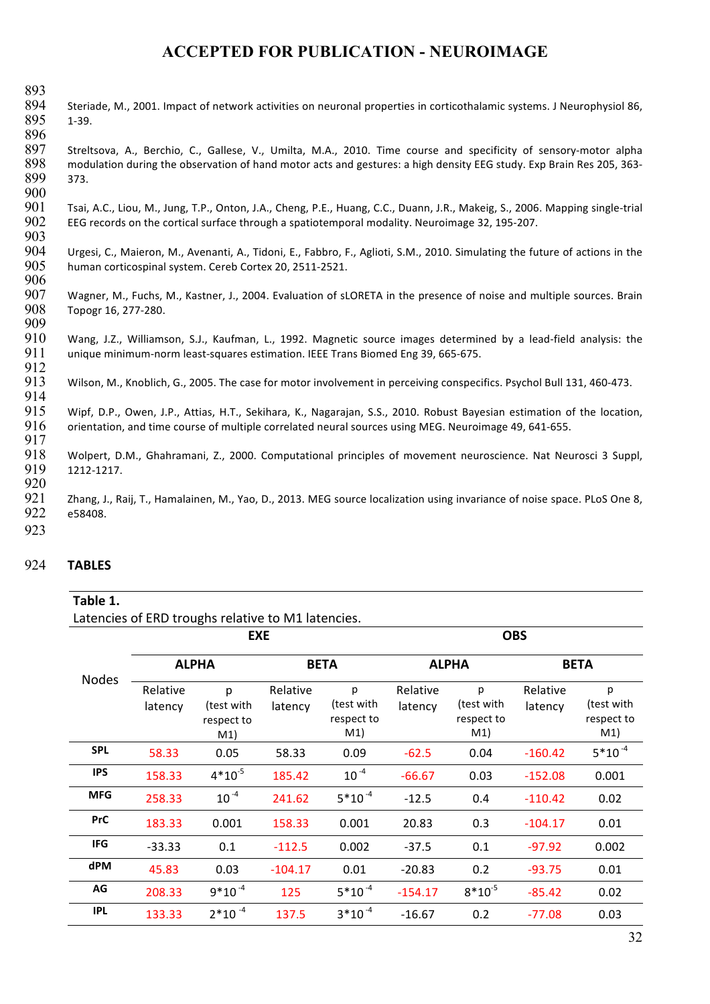893<br>894 Steriade, M., 2001. Impact of network activities on neuronal properties in corticothalamic systems. J Neurophysiol 86, 895 1-39.

896<br>897 Streltsova, A., Berchio, C., Gallese, V., Umilta, M.A., 2010. Time course and specificity of sensory-motor alpha 898 modulation during the observation of hand motor acts and gestures: a high density EEG study. Exp Brain Res 205, 363-899 373. 900

901 Tsai, A.C., Liou, M., Jung, T.P., Onton, J.A., Cheng, P.E., Huang, C.C., Duann, J.R., Makeig, S., 2006. Mapping single-trial<br>902 EEG records on the cortical surface through a spatiotemporal modality. Neuroimage 32, 195 EEG records on the cortical surface through a spatiotemporal modality. Neuroimage 32, 195-207. 903

904 Urgesi, C., Maieron, M., Avenanti, A., Tidoni, E., Fabbro, F., Aglioti, S.M., 2010. Simulating the future of actions in the 905 human corticospinal system. Cereb Cortex 20, 2511-2521. human corticospinal system. Cereb Cortex 20, 2511-2521.

906<br>907 907 Wagner, M., Fuchs, M., Kastner, J., 2004. Evaluation of sLORETA in the presence of noise and multiple sources. Brain 908 Topogr 16. 277-280. Topogr 16, 277-280. 909

910 Wang, J.Z., Williamson, S.J., Kaufman, L., 1992. Magnetic source images determined by a lead-field analysis: the 911 unique minimum-norm least-squares estimation. IEEE Trans Biomed Eng 39, 665-675.

912<br>913 Wilson, M., Knoblich, G., 2005. The case for motor involvement in perceiving conspecifics. Psychol Bull 131, 460-473.

915 Wipf, D.P., Owen, J.P., Attias, H.T., Sekihara, K., Nagarajan, S.S., 2010. Robust Bayesian estimation of the location,<br>916 orientation. and time course of multiple correlated neural sources using MEG. Neuroimage 49. 64 orientation, and time course of multiple correlated neural sources using MEG. Neuroimage 49, 641-655.

917<br>918 918 Wolpert, D.M., Ghahramani, Z., 2000. Computational principles of movement neuroscience. Nat Neurosci 3 Suppl,<br>919 1212-1217. 919 1212-1217.

920

914

921 Zhang, J., Raij, T., Hamalainen, M., Yao, D., 2013. MEG source localization using invariance of noise space. PLoS One 8, 922 e58408.

923

#### 924 **TABLES**

#### Table 1.

Latencies of ERD troughs relative to M1 latencies.

|              |                     | <b>EXE</b>                           |                     |                                      | <b>OBS</b>          |                                      |                     |                                      |
|--------------|---------------------|--------------------------------------|---------------------|--------------------------------------|---------------------|--------------------------------------|---------------------|--------------------------------------|
|              | <b>ALPHA</b>        |                                      | <b>BETA</b>         |                                      | <b>ALPHA</b>        |                                      | <b>BETA</b>         |                                      |
| <b>Nodes</b> | Relative<br>latency | p<br>(test with<br>respect to<br>M1) | Relative<br>latency | p<br>(test with<br>respect to<br>M1) | Relative<br>latency | p<br>(test with<br>respect to<br>M1) | Relative<br>latency | p<br>(test with<br>respect to<br>M1) |
| <b>SPL</b>   | 58.33               | 0.05                                 | 58.33               | 0.09                                 | $-62.5$             | 0.04                                 | $-160.42$           | $5*10^{-4}$                          |
| <b>IPS</b>   | 158.33              | $4*10^{-5}$                          | 185.42              | $10^{-4}$                            | $-66.67$            | 0.03                                 | $-152.08$           | 0.001                                |
| <b>MFG</b>   | 258.33              | $10^{-4}$                            | 241.62              | $5*10^{-4}$                          | $-12.5$             | 0.4                                  | $-110.42$           | 0.02                                 |
| <b>PrC</b>   | 183.33              | 0.001                                | 158.33              | 0.001                                | 20.83               | 0.3                                  | $-104.17$           | 0.01                                 |
| <b>IFG</b>   | $-33.33$            | 0.1                                  | $-112.5$            | 0.002                                | $-37.5$             | 0.1                                  | $-97.92$            | 0.002                                |
| <b>dPM</b>   | 45.83               | 0.03                                 | $-104.17$           | 0.01                                 | $-20.83$            | 0.2                                  | $-93.75$            | 0.01                                 |
| AG           | 208.33              | $9*10^{-4}$                          | 125                 | $5*10^{-4}$                          | $-154.17$           | $8*10^{-5}$                          | $-85.42$            | 0.02                                 |
| <b>IPL</b>   | 133.33              | $2*10^{-4}$                          | 137.5               | $3*10^{-4}$                          | $-16.67$            | 0.2                                  | $-77.08$            | 0.03                                 |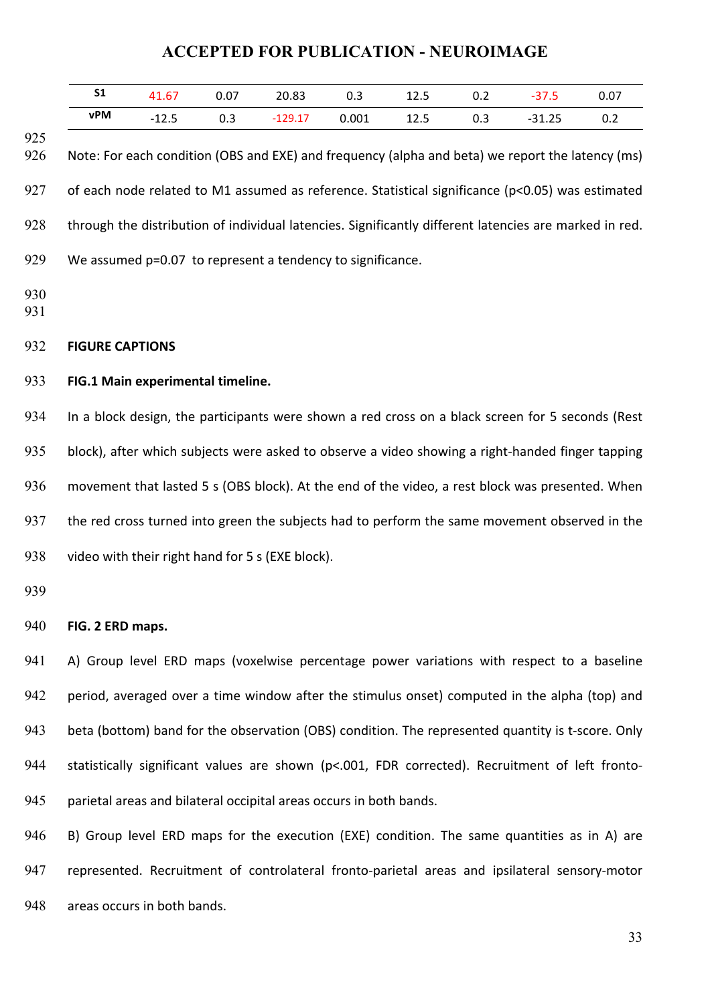| S <sub>1</sub>                                                                                    | 41.67                                                                                                  | 0.07 | 20.83     | 0.3   | 12.5 | 0.2 | $-37.5$  | 0.07 |
|---------------------------------------------------------------------------------------------------|--------------------------------------------------------------------------------------------------------|------|-----------|-------|------|-----|----------|------|
| vPM                                                                                               | $-12.5$                                                                                                | 0.3  | $-129.17$ | 0.001 | 12.5 | 0.3 | $-31.25$ | 0.2  |
|                                                                                                   | Note: For each condition (OBS and EXE) and frequency (alpha and beta) we report the latency (ms)       |      |           |       |      |     |          |      |
|                                                                                                   | of each node related to M1 assumed as reference. Statistical significance (p<0.05) was estimated       |      |           |       |      |     |          |      |
|                                                                                                   | through the distribution of individual latencies. Significantly different latencies are marked in red. |      |           |       |      |     |          |      |
|                                                                                                   | We assumed p=0.07 to represent a tendency to significance.                                             |      |           |       |      |     |          |      |
|                                                                                                   |                                                                                                        |      |           |       |      |     |          |      |
| <b>FIGURE CAPTIONS</b>                                                                            |                                                                                                        |      |           |       |      |     |          |      |
|                                                                                                   | FIG.1 Main experimental timeline.                                                                      |      |           |       |      |     |          |      |
|                                                                                                   | In a block design, the participants were shown a red cross on a black screen for 5 seconds (Rest       |      |           |       |      |     |          |      |
|                                                                                                   | block), after which subjects were asked to observe a video showing a right-handed finger tapping       |      |           |       |      |     |          |      |
|                                                                                                   | movement that lasted 5 s (OBS block). At the end of the video, a rest block was presented. When        |      |           |       |      |     |          |      |
| the red cross turned into green the subjects had to perform the same movement observed in the     |                                                                                                        |      |           |       |      |     |          |      |
| video with their right hand for 5 s (EXE block).                                                  |                                                                                                        |      |           |       |      |     |          |      |
|                                                                                                   |                                                                                                        |      |           |       |      |     |          |      |
| FIG. 2 ERD maps.                                                                                  |                                                                                                        |      |           |       |      |     |          |      |
|                                                                                                   | A) Group level ERD maps (voxelwise percentage power variations with respect to a baseline              |      |           |       |      |     |          |      |
| period, averaged over a time window after the stimulus onset) computed in the alpha (top) and     |                                                                                                        |      |           |       |      |     |          |      |
| beta (bottom) band for the observation (OBS) condition. The represented quantity is t-score. Only |                                                                                                        |      |           |       |      |     |          |      |
| statistically significant values are shown (p<.001, FDR corrected). Recruitment of left fronto-   |                                                                                                        |      |           |       |      |     |          |      |
| parietal areas and bilateral occipital areas occurs in both bands.                                |                                                                                                        |      |           |       |      |     |          |      |

946 B) Group level ERD maps for the execution (EXE) condition. The same quantities as in A) are 947 represented. Recruitment of controlateral fronto-parietal areas and ipsilateral sensory-motor 948 areas occurs in both bands.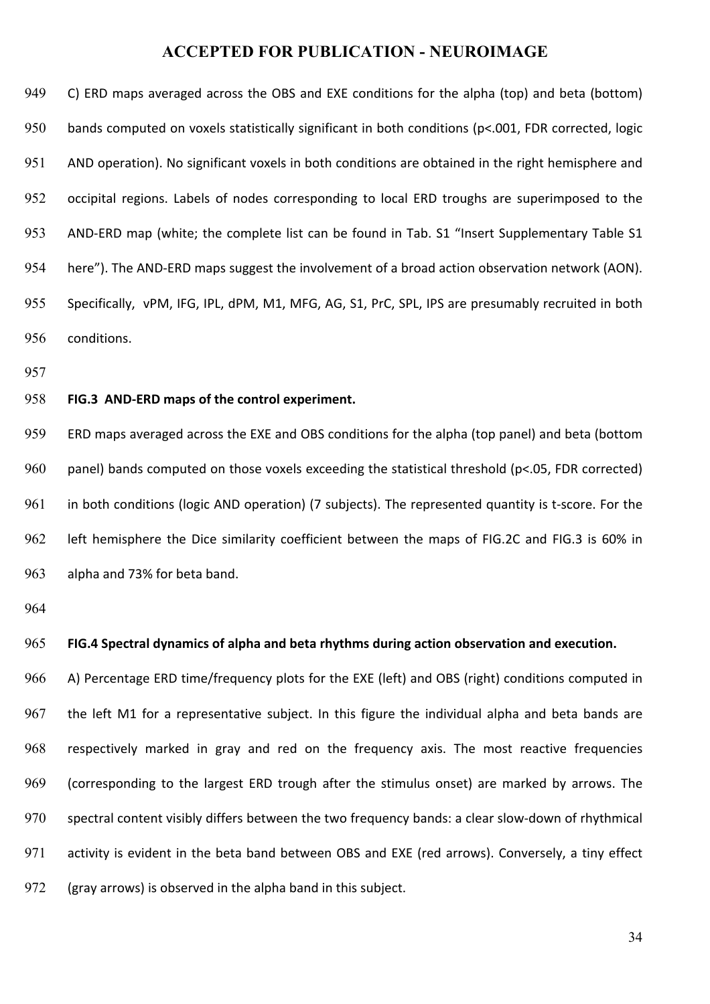949 C) ERD maps averaged across the OBS and EXE conditions for the alpha (top) and beta (bottom) 950 bands computed on voxels statistically significant in both conditions (p<.001, FDR corrected, logic 951 AND operation). No significant voxels in both conditions are obtained in the right hemisphere and 952 occipital regions. Labels of nodes corresponding to local ERD troughs are superimposed to the 953 AND-ERD map (white; the complete list can be found in Tab. S1 "Insert Supplementary Table S1 954 here"). The AND-ERD maps suggest the involvement of a broad action observation network (AON). 955 Specifically, vPM, IFG, IPL, dPM, M1, MFG, AG, S1, PrC, SPL, IPS are presumably recruited in both 956 conditions.

957

#### 958 **FIG.3 AND-ERD maps of the control experiment.**

959 ERD maps averaged across the EXE and OBS conditions for the alpha (top panel) and beta (bottom 960 panel) bands computed on those voxels exceeding the statistical threshold (p<.05, FDR corrected) 961 in both conditions (logic AND operation) (7 subjects). The represented quantity is t-score. For the 962 left hemisphere the Dice similarity coefficient between the maps of FIG.2C and FIG.3 is 60% in 963 alpha and 73% for beta band.

964

#### 965 **FIG.4** Spectral dynamics of alpha and beta rhythms during action observation and execution.

966 A) Percentage ERD time/frequency plots for the EXE (left) and OBS (right) conditions computed in 967 the left M1 for a representative subject. In this figure the individual alpha and beta bands are 968 respectively marked in gray and red on the frequency axis. The most reactive frequencies 969 (corresponding to the largest ERD trough after the stimulus onset) are marked by arrows. The 970 spectral content visibly differs between the two frequency bands: a clear slow-down of rhythmical 971 activity is evident in the beta band between OBS and EXE (red arrows). Conversely, a tiny effect  $972$  (gray arrows) is observed in the alpha band in this subject.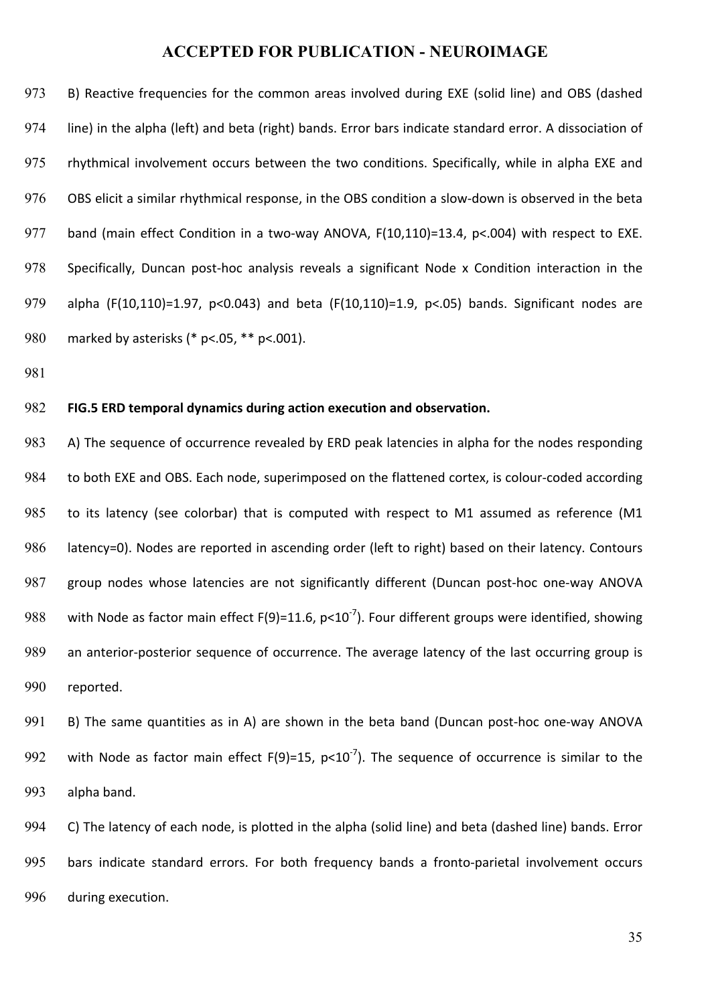973 B) Reactive frequencies for the common areas involved during EXE (solid line) and OBS (dashed 974 line) in the alpha (left) and beta (right) bands. Error bars indicate standard error. A dissociation of 975 rhythmical involvement occurs between the two conditions. Specifically, while in alpha EXE and 976 OBS elicit a similar rhythmical response, in the OBS condition a slow-down is observed in the beta 977 band (main effect Condition in a two-way ANOVA,  $F(10,110)=13.4$ ,  $p<.004$ ) with respect to EXE. 978 Specifically, Duncan post-hoc analysis reveals a significant Node x Condition interaction in the 979 alpha (F(10,110)=1.97,  $p<0.043$ ) and beta (F(10,110)=1.9,  $p<0.05$ ) bands. Significant nodes are 980 marked by asterisks (\* p<.05, \*\* p<.001).

981

#### 982 **FIG.5 ERD temporal dynamics during action execution and observation.**

983 A) The sequence of occurrence revealed by ERD peak latencies in alpha for the nodes responding 984 to both EXE and OBS. Each node, superimposed on the flattened cortex, is colour-coded according 985 to its latency (see colorbar) that is computed with respect to M1 assumed as reference (M1 986 latency=0). Nodes are reported in ascending order (left to right) based on their latency. Contours 987 group nodes whose latencies are not significantly different (Duncan post-hoc one-way ANOVA 988 with Node as factor main effect  $F(9)=11.6$ ,  $p<10^{-7}$ ). Four different groups were identified, showing 989 an anterior-posterior sequence of occurrence. The average latency of the last occurring group is 990 reported.

991 B) The same quantities as in A) are shown in the beta band (Duncan post-hoc one-way ANOVA 992 with Node as factor main effect  $F(9)=15$ ,  $p<10^{-7}$ ). The sequence of occurrence is similar to the 993 alpha band.

994 C) The latency of each node, is plotted in the alpha (solid line) and beta (dashed line) bands. Error 995 bars indicate standard errors. For both frequency bands a fronto-parietal involvement occurs 996 during execution.